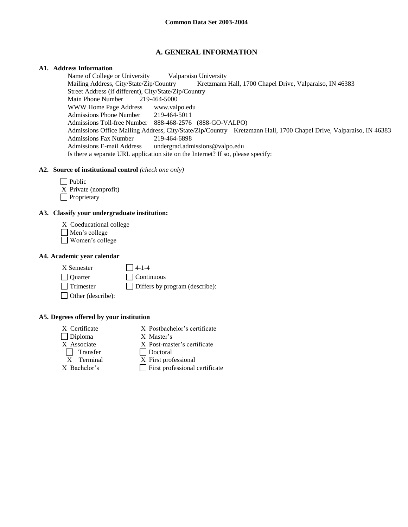# **A. GENERAL INFORMATION**

## **A1. Address Information**

Name of College or University Valparaiso University Mailing Address, City/State/Zip/Country Kretzmann Hall, 1700 Chapel Drive, Valparaiso, IN 46383 Street Address (if different), City/State/Zip/Country<br>Main Phone Number 219-464-5000 Main Phone Number WWW Home Page Address www.valpo.edu Admissions Phone Number 219-464-5011 Admissions Toll-free Number 888-468-2576 (888-GO-VALPO) Admissions Office Mailing Address, City/State/Zip/Country Kretzmann Hall, 1700 Chapel Drive, Valparaiso, IN 46383 Admissions Fax Number 219-464-6898 Admissions E-mail Address undergrad.admissions@valpo.edu Is there a separate URL application site on the Internet? If so, please specify:

# **A2. Source of institutional control** *(check one only)*

- $\Box$  Public X Private (nonprofit)
- **Proprietary**

# **A3. Classify your undergraduate institution:**

- X Coeducational college
- Men's college
- Women's college

# **A4. Academic year calendar**

 $X$  Semester  $\qquad \qquad \Box$  4-1-4

Quarter Continuous

Other (describe):

 $\Box$  Trimester  $\Box$  Differs by program (describe):

# **A5. Degrees offered by your institution**

- Diploma X Master's Transfer Doctoral
- X Certificate X Postbachelor's certificate
	-
- X Associate X Post-master's certificate
	-
	- X Terminal X First professional
- 
- $X$  Bachelor's First professional certificate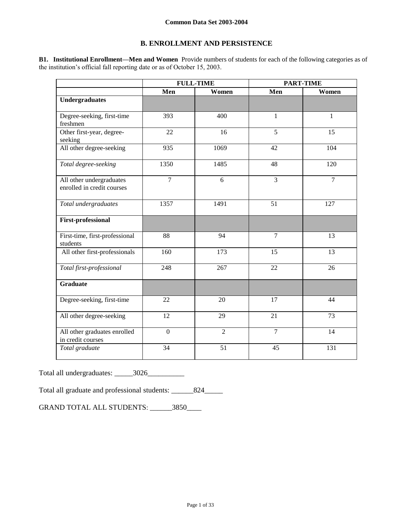# **B. ENROLLMENT AND PERSISTENCE**

**B1. Institutional Enrollment—Men and Women** Provide numbers of students for each of the following categories as of the institution's official fall reporting date or as of October 15, 2003.

|                                                        | <b>FULL-TIME</b> |                |                | <b>PART-TIME</b> |
|--------------------------------------------------------|------------------|----------------|----------------|------------------|
|                                                        | Men              | Women          | Men            | Women            |
| <b>Undergraduates</b>                                  |                  |                |                |                  |
| Degree-seeking, first-time<br>freshmen                 | 393              | 400            | $\mathbf{1}$   | $\mathbf{1}$     |
| Other first-year, degree-<br>seeking                   | 22               | 16             | 5              | 15               |
| All other degree-seeking                               | 935              | 1069           | 42             | 104              |
| Total degree-seeking                                   | 1350             | 1485           | 48             | 120              |
| All other undergraduates<br>enrolled in credit courses | $\overline{7}$   | 6              | $\overline{3}$ | $\overline{7}$   |
| Total undergraduates                                   | 1357             | 1491           | 51             | 127              |
| <b>First-professional</b>                              |                  |                |                |                  |
| First-time, first-professional<br>students             | 88               | 94             | $\overline{7}$ | 13               |
| All other first-professionals                          | 160              | 173            | 15             | 13               |
| Total first-professional                               | 248              | 267            | 22             | 26               |
| <b>Graduate</b>                                        |                  |                |                |                  |
| Degree-seeking, first-time                             | 22               | 20             | 17             | 44               |
| All other degree-seeking                               | 12               | 29             | 21             | 73               |
| All other graduates enrolled<br>in credit courses      | $\boldsymbol{0}$ | $\overline{2}$ | $\overline{7}$ | 14               |
| Total graduate                                         | 34               | 51             | 45             | 131              |

Total all undergraduates: \_\_\_\_\_3026\_\_\_\_\_\_\_\_\_

Total all graduate and professional students: \_\_\_\_\_\_824\_\_\_\_\_

GRAND TOTAL ALL STUDENTS: \_\_\_\_\_\_3850\_\_\_\_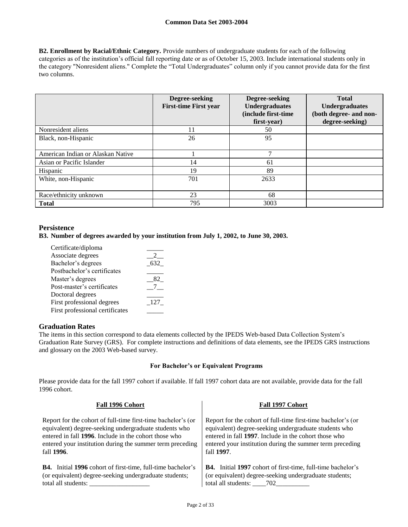**B2. Enrollment by Racial/Ethnic Category.** Provide numbers of undergraduate students for each of the following categories as of the institution's official fall reporting date or as of October 15, 2003. Include international students only in the category "Nonresident aliens." Complete the "Total Undergraduates" column only if you cannot provide data for the first two columns.

|                                   | Degree-seeking<br><b>First-time First year</b> | Degree-seeking<br><b>Undergraduates</b><br>(include first-time<br>first-year) | <b>Total</b><br><b>Undergraduates</b><br>(both degree- and non-<br>degree-seeking) |
|-----------------------------------|------------------------------------------------|-------------------------------------------------------------------------------|------------------------------------------------------------------------------------|
| Nonresident aliens                | 11                                             | 50                                                                            |                                                                                    |
| Black, non-Hispanic               | 26                                             | 95                                                                            |                                                                                    |
| American Indian or Alaskan Native |                                                | $\mathcal{L}$                                                                 |                                                                                    |
| Asian or Pacific Islander         | 14                                             | 61                                                                            |                                                                                    |
| Hispanic                          | 19                                             | 89                                                                            |                                                                                    |
| White, non-Hispanic               | 701                                            | 2633                                                                          |                                                                                    |
| Race/ethnicity unknown            | 23                                             | 68                                                                            |                                                                                    |
| <b>Total</b>                      | 795                                            | 3003                                                                          |                                                                                    |

# **Persistence**

## **B3. Number of degrees awarded by your institution from July 1, 2002, to June 30, 2003.**

| Certificate/diploma             |     |
|---------------------------------|-----|
| Associate degrees               |     |
| Bachelor's degrees              | 632 |
| Postbachelor's certificates     |     |
| Master's degrees                |     |
| Post-master's certificates      |     |
| Doctoral degrees                |     |
| First professional degrees      | 127 |
| First professional certificates |     |
|                                 |     |

## **Graduation Rates**

The items in this section correspond to data elements collected by the IPEDS Web-based Data Collection System's Graduation Rate Survey (GRS). For complete instructions and definitions of data elements, see the IPEDS GRS instructions and glossary on the 2003 Web-based survey.

## **For Bachelor's or Equivalent Programs**

Please provide data for the fall 1997 cohort if available. If fall 1997 cohort data are not available, provide data for the fall 1996 cohort.

| Fall 1996 Cohort                                                   | Fall 1997 Cohort                                                   |
|--------------------------------------------------------------------|--------------------------------------------------------------------|
| Report for the cohort of full-time first-time bachelor's (or       | Report for the cohort of full-time first-time bachelor's (or       |
| equivalent) degree-seeking undergraduate students who              | equivalent) degree-seeking undergraduate students who              |
| entered in fall 1996. Include in the cohort those who              | entered in fall 1997. Include in the cohort those who              |
| entered your institution during the summer term preceding          | entered your institution during the summer term preceding          |
| fall 1996.                                                         | fall 1997.                                                         |
| <b>B4.</b> Initial 1996 cohort of first-time, full-time bachelor's | <b>B4.</b> Initial 1997 cohort of first-time, full-time bachelor's |
| (or equivalent) degree-seeking undergraduate students;             | (or equivalent) degree-seeking undergraduate students;             |
| total all students:                                                |                                                                    |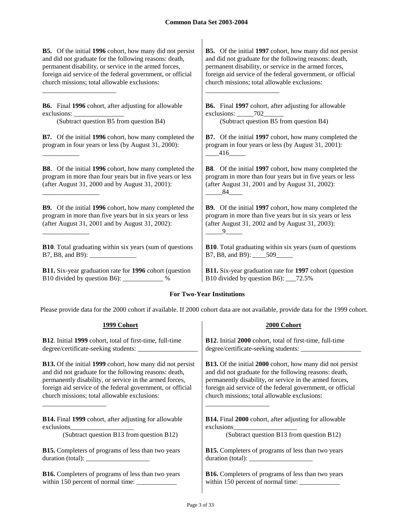**B5.** Of the initial **1996** cohort, how many did not persist and did not graduate for the following reasons: death, permanent disability, or service in the armed forces, foreign aid service of the federal government, or official church missions; total allowable exclusions:

**B6.** Final **1996** cohort, after adjusting for allowable exclusions:

\_\_\_\_\_\_\_\_\_\_\_\_\_\_\_\_\_\_\_\_\_\_

\_\_\_\_\_\_\_\_\_\_\_

\_\_\_\_\_\_\_\_\_\_\_\_\_\_\_\_\_

\_\_\_\_\_\_\_\_\_\_\_\_\_\_

(Subtract question B5 from question B4) (Subtract question B5 from question B4)

**B7.** Of the initial **1996** cohort, how many completed the program in four years or less (by August 31, 2000):

**B8**. Of the initial **1996** cohort, how many completed the program in more than four years but in five years or less (after August 31, 2000 and by August 31, 2001):

**B9.** Of the initial **1996** cohort, how many completed the program in more than five years but in six years or less (after August 31, 2001 and by August 31, 2002):

**B10**. Total graduating within six years (sum of questions B7, B8, and B9):

**B11.** Six-year graduation rate for **1996** cohort (question B10 divided by question B6): \_\_\_\_\_\_\_\_\_\_\_\_ %

**B5.** Of the initial **1997** cohort, how many did not persist and did not graduate for the following reasons: death, permanent disability, or service in the armed forces, foreign aid service of the federal government, or official church missions; total allowable exclusions:

**B6.** Final **1997** cohort, after adjusting for allowable exclusions:  $702$ 

\_\_\_\_\_\_\_\_\_\_\_\_\_\_\_\_\_\_\_\_\_\_

**B7.** Of the initial **1997** cohort, how many completed the program in four years or less (by August 31, 2001):  $-416$ 

**B8**. Of the initial **1997** cohort, how many completed the program in more than four years but in five years or less (after August 31, 2001 and by August 31, 2002): \_\_\_\_\_84\_\_\_\_

**B9.** Of the initial **1997** cohort, how many completed the program in more than five years but in six years or less (after August 31, 2002 and by August 31, 2003):  $-9$ 

**B10**. Total graduating within six years (sum of questions B7, B8, and B9): \_\_\_\_509\_\_\_\_\_

**B11.** Six-year graduation rate for **1997** cohort (question B10 divided by question B6): \_\_\_72.5%

# **For Two-Year Institutions**

Please provide data for the 2000 cohort if available. If 2000 cohort data are not available, provide data for the 1999 cohort.

| 1999 Cohort                                                      | 2000 Cohort                                                          |
|------------------------------------------------------------------|----------------------------------------------------------------------|
| <b>B12.</b> Initial 1999 cohort, total of first-time, full-time  | <b>B12.</b> Initial 2000 cohort, total of first-time, full-time      |
|                                                                  |                                                                      |
| <b>B13.</b> Of the initial 1999 cohort, how many did not persist | <b>B13.</b> Of the initial 2000 cohort, how many did not persist     |
| and did not graduate for the following reasons: death,           | and did not graduate for the following reasons: death,               |
| permanently disability, or service in the armed forces,          | permanently disability, or service in the armed forces,              |
| foreign aid service of the federal government, or official       | foreign aid service of the federal government, or official           |
| church missions; total allowable exclusions:                     | church missions; total allowable exclusions:                         |
| <b>B14.</b> Final 1999 cohort, after adjusting for allowable     | <b>B14.</b> Final 2000 cohort, after adjusting for allowable         |
|                                                                  |                                                                      |
| (Subtract question B13 from question B12)                        | (Subtract question B13 from question B12)                            |
| <b>B15.</b> Completers of programs of less than two years        | <b>B15.</b> Completers of programs of less than two years            |
|                                                                  | duration (total): $\frac{1}{\sqrt{1-\frac{1}{2}} \cdot \frac{1}{2}}$ |
| <b>B16.</b> Completers of programs of less than two years        | <b>B16.</b> Completers of programs of less than two years            |
|                                                                  |                                                                      |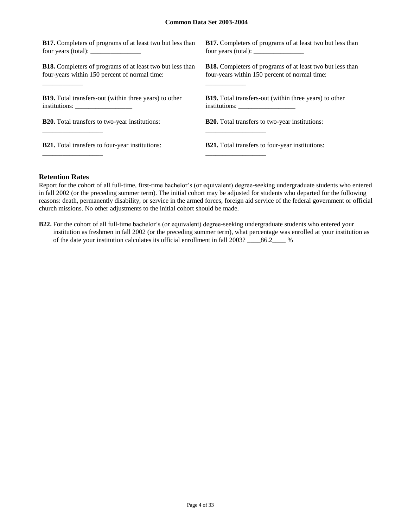| <b>B17.</b> Completers of programs of at least two but less than                                                                                                                                                                                                                                                                                                                                                  | <b>B17.</b> Completers of programs of at least two but less than |
|-------------------------------------------------------------------------------------------------------------------------------------------------------------------------------------------------------------------------------------------------------------------------------------------------------------------------------------------------------------------------------------------------------------------|------------------------------------------------------------------|
| four years (total): $\frac{1}{\sqrt{1-\frac{1}{\sqrt{1-\frac{1}{\sqrt{1-\frac{1}{\sqrt{1-\frac{1}{\sqrt{1-\frac{1}{\sqrt{1-\frac{1}{\sqrt{1-\frac{1}{\sqrt{1-\frac{1}{\sqrt{1-\frac{1}{\sqrt{1-\frac{1}{\sqrt{1-\frac{1}{\sqrt{1-\frac{1}{\sqrt{1-\frac{1}{\sqrt{1-\frac{1}{\sqrt{1-\frac{1}{\sqrt{1-\frac{1}{\sqrt{1-\frac{1}{\sqrt{1-\frac{1}{\sqrt{1-\frac{1}{\sqrt{1-\frac{1}{\sqrt{1-\frac{1}{\sqrt{1-\frac$ | four years (total): $\frac{1}{2}$                                |
| <b>B18.</b> Completers of programs of at least two but less than                                                                                                                                                                                                                                                                                                                                                  | <b>B18.</b> Completers of programs of at least two but less than |
| four-years within 150 percent of normal time:                                                                                                                                                                                                                                                                                                                                                                     | four-years within 150 percent of normal time:                    |
| <b>B19.</b> Total transfers-out (within three years) to other                                                                                                                                                                                                                                                                                                                                                     | <b>B19.</b> Total transfers-out (within three years) to other    |
| $institutions: \_\_\_\_\_\_\_\_\_\_\_\_\_\_\_\_\_\_\_\_\_$                                                                                                                                                                                                                                                                                                                                                        |                                                                  |
| <b>B20.</b> Total transfers to two-year institutions:                                                                                                                                                                                                                                                                                                                                                             | <b>B20.</b> Total transfers to two-year institutions:            |
| <b>B21.</b> Total transfers to four-year institutions:                                                                                                                                                                                                                                                                                                                                                            | <b>B21.</b> Total transfers to four-year institutions:           |

# **Retention Rates**

Report for the cohort of all full-time, first-time bachelor's (or equivalent) degree-seeking undergraduate students who entered in fall 2002 (or the preceding summer term). The initial cohort may be adjusted for students who departed for the following reasons: death, permanently disability, or service in the armed forces, foreign aid service of the federal government or official church missions. No other adjustments to the initial cohort should be made.

**B22.** For the cohort of all full-time bachelor's (or equivalent) degree-seeking undergraduate students who entered your institution as freshmen in fall 2002 (or the preceding summer term), what percentage was enrolled at your institution as of the date your institution calculates its official enrollment in fall 2003? \_\_\_\_86.2\_\_\_\_ %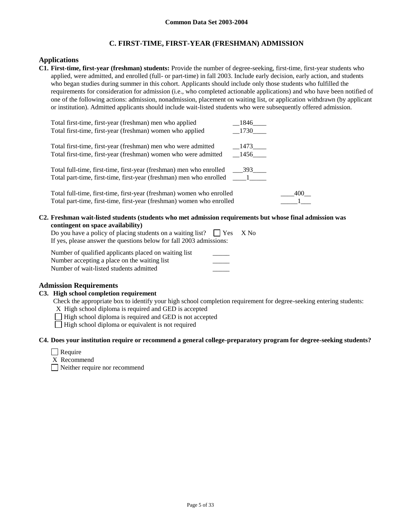# **C. FIRST-TIME, FIRST-YEAR (FRESHMAN) ADMISSION**

## **Applications**

**C1. First-time, first-year (freshman) students:** Provide the number of degree-seeking, first-time, first-year students who applied, were admitted, and enrolled (full- or part-time) in fall 2003. Include early decision, early action, and students who began studies during summer in this cohort. Applicants should include only those students who fulfilled the requirements for consideration for admission (i.e., who completed actionable applications) and who have been notified of one of the following actions: admission, nonadmission, placement on waiting list, or application withdrawn (by applicant or institution). Admitted applicants should include wait-listed students who were subsequently offered admission.

| Total first-time, first-year (freshman) men who applied                           | 1846 |     |
|-----------------------------------------------------------------------------------|------|-----|
| Total first-time, first-year (freshman) women who applied                         | 1730 |     |
| Total first-time, first-year (freshman) men who were admitted                     | 1473 |     |
| Total first-time, first-year (freshman) women who were admitted                   | 1456 |     |
|                                                                                   |      |     |
| Total full-time, first-time, first-year (freshman) men who enrolled               | 393  |     |
| Total part-time, first-time, first-year (freshman) men who enrolled _____________ |      |     |
|                                                                                   |      |     |
| Total full-time, first-time, first-year (freshman) women who enrolled             |      | 400 |
| Total part-time, first-time, first-year (freshman) women who enrolled             |      |     |

#### **C2. Freshman wait-listed students (students who met admission requirements but whose final admission was contingent on space availability)**

| Do you have a policy of placing students on a waiting list? $\Box$ Yes X No |  |  |
|-----------------------------------------------------------------------------|--|--|
| If yes, please answer the questions below for fall 2003 admissions:         |  |  |

Number of qualified applicants placed on waiting list Number accepting a place on the waiting list Number of wait-listed students admitted \_\_\_\_\_

## **Admission Requirements**

#### **C3. High school completion requirement**

Check the appropriate box to identify your high school completion requirement for degree-seeking entering students:

X High school diploma is required and GED is accepted

 $\Box$  High school diploma is required and GED is not accepted

High school diploma or equivalent is not required

#### **C4. Does your institution require or recommend a general college-preparatory program for degree-seeking students?**

Require

X Recommend

Neither require nor recommend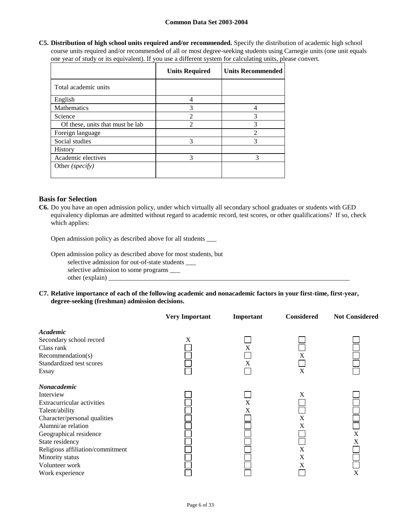**C5. Distribution of high school units required and/or recommended.** Specify the distribution of academic high school course units required and/or recommended of all or most degree-seeking students using Carnegie units (one unit equals one year of study or its equivalent). If you use a different system for calculating units, please convert.

|                                  | <b>Units Required</b> | <b>Units Recommended</b> |
|----------------------------------|-----------------------|--------------------------|
| Total academic units             |                       |                          |
| English                          |                       |                          |
| <b>Mathematics</b>               | 3                     |                          |
| Science                          | $\overline{2}$        | 3                        |
| Of these, units that must be lab | ↑                     | 3                        |
| Foreign language                 |                       | っ                        |
| Social studies                   | $\mathcal{R}$         | 3                        |
| <b>History</b>                   |                       |                          |
| Academic electives               | $\mathcal{R}$         | $\mathcal{F}$            |
| Other ( <i>specify</i> )         |                       |                          |

## **Basis for Selection**

**C6.** Do you have an open admission policy, under which virtually all secondary school graduates or students with GED equivalency diplomas are admitted without regard to academic record, test scores, or other qualifications? If so, check which applies:

Open admission policy as described above for all students \_\_\_

Open admission policy as described above for most students, but

selective admission for out-of-state students \_\_\_

selective admission to some programs \_\_\_  $other (explain)$ 

**C7. Relative importance of each of the following academic and nonacademic factors in your first-time, first-year, degree-seeking (freshman) admission decisions.**

|                                     | <b>Very Important</b> | Important | <b>Considered</b> | <b>Not Considered</b> |
|-------------------------------------|-----------------------|-----------|-------------------|-----------------------|
| Academic<br>Secondary school record | X                     |           |                   |                       |
| Class rank                          |                       | X         |                   |                       |
| Recommendation(s)                   |                       |           | X                 |                       |
| Standardized test scores            |                       | X         |                   |                       |
| Essay                               |                       |           | X                 |                       |
| Nonacademic                         |                       |           |                   |                       |
| Interview                           |                       |           | X                 |                       |
| Extracurricular activities          |                       | X         |                   |                       |
| Talent/ability                      |                       | X         |                   |                       |
| Character/personal qualities        |                       |           | X                 |                       |
| Alumni/ae relation                  |                       |           | X                 |                       |
| Geographical residence              |                       |           |                   | X                     |
| State residency                     |                       |           |                   | X                     |
| Religious affiliation/commitment    |                       |           | X                 |                       |
| Minority status                     |                       |           | X                 |                       |
| Volunteer work                      |                       |           | X                 |                       |
| Work experience                     |                       |           |                   | X                     |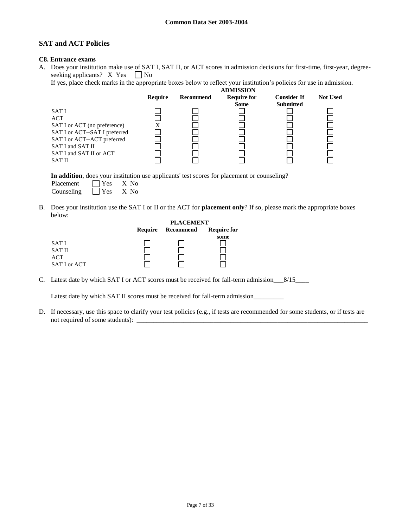# **SAT and ACT Policies**

## **C8. Entrance exams**

A. Does your institution make use of SAT I, SAT II, or ACT scores in admission decisions for first-time, first-year, degreeseeking applicants? X Yes  $\Box$  No

If yes, place check marks in the appropriate boxes below to reflect your institution's policies for use in admission.

|                               |         |           | <b>ADMISSION</b>   |                    |                 |
|-------------------------------|---------|-----------|--------------------|--------------------|-----------------|
|                               | Require | Recommend | <b>Require for</b> | <b>Consider If</b> | <b>Not Used</b> |
|                               |         |           | <b>Some</b>        | <b>Submitted</b>   |                 |
| SAT I                         |         |           |                    |                    |                 |
| ACT                           |         |           |                    |                    |                 |
| SAT I or ACT (no preference)  | X       |           |                    |                    |                 |
| SAT I or ACT--SAT I preferred |         |           |                    |                    |                 |
| SAT I or ACT--ACT preferred   |         |           |                    |                    |                 |
| SAT I and SAT II              |         |           |                    |                    |                 |
| SAT I and SAT II or ACT       |         |           |                    |                    |                 |
| <b>SAT II</b>                 |         |           |                    |                    |                 |

**In addition**, does your institution use applicants' test scores for placement or counseling?

| Placement  | $ $ Yes    | $X$ No |
|------------|------------|--------|
| Counseling | $\Box$ Yes | X No   |

B. Does your institution use the SAT I or II or the ACT for **placement only**? If so, please mark the appropriate boxes below: **PLACEMENT**

|              | PLACEMENT |           |                    |
|--------------|-----------|-----------|--------------------|
|              | Require   | Recommend | <b>Require for</b> |
|              |           |           | some               |
| <b>SATI</b>  |           |           |                    |
| <b>SATII</b> |           |           |                    |
| <b>ACT</b>   |           |           |                    |
| SAT I or ACT |           |           |                    |

C. Latest date by which SAT I or ACT scores must be received for fall-term admission\_\_\_8/15\_\_\_\_

Latest date by which SAT II scores must be received for fall-term admission\_\_\_\_\_\_

D. If necessary, use this space to clarify your test policies (e.g., if tests are recommended for some students, or if tests are not required of some students): \_\_\_\_\_\_\_\_\_\_\_\_\_\_\_\_\_\_\_\_\_\_\_\_\_\_\_\_\_\_\_\_\_\_\_\_\_\_\_\_\_\_\_\_\_\_\_\_\_\_\_\_\_\_\_\_\_\_\_\_\_\_\_\_\_\_\_\_\_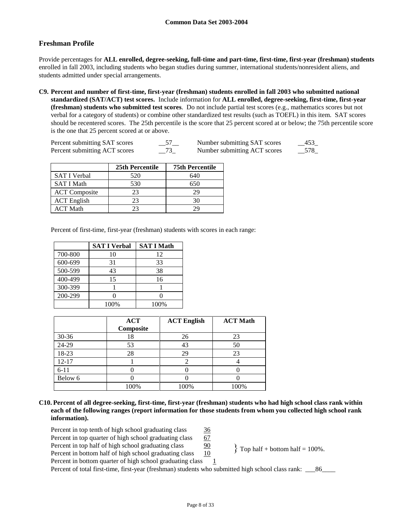# **Freshman Profile**

Provide percentages for **ALL enrolled, degree-seeking, full-time and part-time, first-time, first-year (freshman) students**  enrolled in fall 2003, including students who began studies during summer, international students/nonresident aliens, and students admitted under special arrangements.

**C9. Percent and number of first-time, first-year (freshman) students enrolled in fall 2003 who submitted national standardized (SAT/ACT) test scores.** Include information for **ALL enrolled, degree-seeking, first-time, first-year (freshman) students who submitted test scores**. Do not include partial test scores (e.g., mathematics scores but not verbal for a category of students) or combine other standardized test results (such as TOEFL) in this item. SAT scores should be recentered scores. The 25th percentile is the score that 25 percent scored at or below; the 75th percentile score is the one that 25 percent scored at or above.

| Percent submitting SAT scores | $-$ <sup><math>J</math></sup> $-$ | Number submitting SAT scores | 453 |
|-------------------------------|-----------------------------------|------------------------------|-----|
| Percent submitting ACT scores | $-13$                             | Number submitting ACT scores | 578 |

|                      | 25th Percentile | <b>75th Percentile</b> |
|----------------------|-----------------|------------------------|
| <b>SAT I Verbal</b>  | 520             | 640                    |
| <b>SAT I Math</b>    | 530             | 650                    |
| <b>ACT</b> Composite | 23              | 29                     |
| <b>ACT</b> English   | 23              | 30                     |
| ACT Math             | 23              | ωq                     |

Percent of first-time, first-year (freshman) students with scores in each range:

|         | <b>SAT I Verbal</b> | <b>SAT I Math</b> |
|---------|---------------------|-------------------|
| 700-800 | 10                  | 12                |
| 600-699 | 31                  | 33                |
| 500-599 | 43                  | 38                |
| 400-499 | 15                  | 16                |
| 300-399 |                     |                   |
| 200-299 |                     |                   |
|         | 100%                | 100%              |

|           | <b>ACT</b><br>Composite | <b>ACT English</b> | <b>ACT Math</b> |
|-----------|-------------------------|--------------------|-----------------|
| $30 - 36$ | 18                      | 26                 | 23              |
| 24-29     | 53                      | 43                 | 50              |
| 18-23     | 28                      | 29                 | 23              |
| $12 - 17$ |                         |                    |                 |
| $6 - 11$  |                         |                    |                 |
| Below 6   |                         |                    |                 |
|           | 100%                    | 100%               | 100%            |

**C10. Percent of all degree-seeking, first-time, first-year (freshman) students who had high school class rank within each of the following ranges (report information for those students from whom you collected high school rank information).**

Percent in top tenth of high school graduating class 36 Percent in top quarter of high school graduating class  $67$ Percent in top half of high school graduating class 90 Percent in bottom half of high school graduating class 10 Percent in bottom quarter of high school graduating class  $1$  $\{$  Top half + bottom half = 100%.

Percent of total first-time, first-year (freshman) students who submitted high school class rank: \_\_\_86\_\_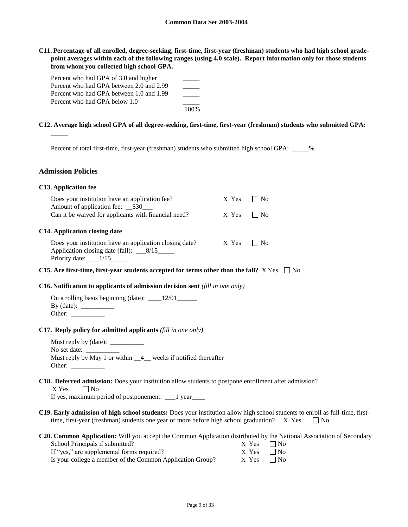**C11. Percentage of all enrolled, degree-seeking, first-time, first-year (freshman) students who had high school gradepoint averages within each of the following ranges (using 4.0 scale). Report information only for those students from whom you collected high school GPA.**

| Percent who had GPA of 3.0 and higher    |      |
|------------------------------------------|------|
| Percent who had GPA between 2.0 and 2.99 |      |
| Percent who had GPA between 1.0 and 1.99 |      |
| Percent who had GPA below 1.0            |      |
|                                          | 100% |

### **C12. Average high school GPA of all degree-seeking, first-time, first-year (freshman) students who submitted GPA:**

Percent of total first-time, first-year (freshman) students who submitted high school GPA: \_\_\_\_\_%

#### **Admission Policies**

 $\overline{\phantom{a}}$ 

| <b>C13. Application fee</b> |  |
|-----------------------------|--|
|-----------------------------|--|

| Does your institution have an application fee?<br>Amount of application fee: __\$30___                                             | $X$ Yes $1$ $No$ |      |  |
|------------------------------------------------------------------------------------------------------------------------------------|------------------|------|--|
| Can it be waived for applicants with financial need?                                                                               | X Yes            | l No |  |
| C14. Application closing date<br>Does your institution have an application closing date?<br>Application closing date (fall): _8/15 | X Yes            | l No |  |
| Priority date: $\frac{1}{15}$                                                                                                      |                  |      |  |

#### **C15.** Are first-time, first-year students accepted for terms other than the fall?  $X$  Yes  $\Box$  No

#### **C16. Notification to applicants of admission decision sent** *(fill in one only)*

| On a rolling basis beginning (date): | 12/01 |
|--------------------------------------|-------|
| $By$ (date):                         |       |
| Other:                               |       |

#### **C17. Reply policy for admitted applicants** *(fill in one only)*

Must reply by (date): \_\_\_\_\_\_\_\_\_\_ No set date: Must reply by May 1 or within \_\_4\_\_ weeks if notified thereafter Other:  $\frac{1}{\sqrt{1-\frac{1}{2}}\cdot\frac{1}{\sqrt{1-\frac{1}{2}}}}$ 

#### **C18. Deferred admission:** Does your institution allow students to postpone enrollment after admission?

 $X$  Yes  $\Box$  No

If yes, maximum period of postponement: \_\_\_1 year

**C19. Early admission of high school students:** Does your institution allow high school students to enroll as full-time, firsttime, first-year (freshman) students one year or more before high school graduation?  $X$  Yes  $\square$  No

#### **C20. Common Application:** Will you accept the Common Application distributed by the National Association of Secondary School Principals if submitted?  $X$  Yes  $\Box$  No

| $\sim$                                                    | $\sqrt{1 + 1}$    |  |
|-----------------------------------------------------------|-------------------|--|
| If "yes," are supplemental forms required?                | $X$ Yes $\Box$ No |  |
| Is your college a member of the Common Application Group? | $X$ Yes $\Box$ No |  |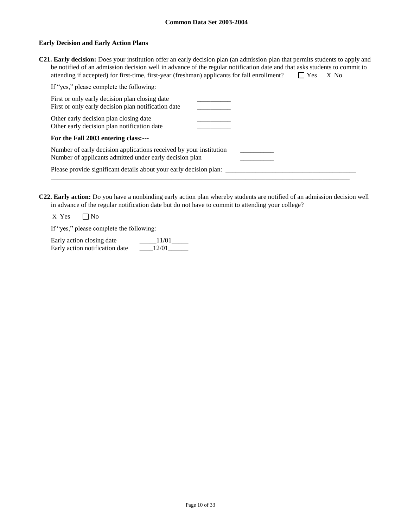### **Early Decision and Early Action Plans**

**C21. Early decision:** Does your institution offer an early decision plan (an admission plan that permits students to apply and be notified of an admission decision well in advance of the regular notification date and that asks students to commit to attending if accepted) for first-time, first-year (freshman) applicants for fall enrollment?  $\square$  Yes X No

| If "yes," please complete the following:                                                                                      |  |
|-------------------------------------------------------------------------------------------------------------------------------|--|
| First or only early decision plan closing date<br>First or only early decision plan notification date                         |  |
| Other early decision plan closing date<br>Other early decision plan notification date                                         |  |
| For the Fall 2003 entering class:---                                                                                          |  |
| Number of early decision applications received by your institution<br>Number of applicants admitted under early decision plan |  |
| Please provide significant details about your early decision plan:                                                            |  |

**C22. Early action:** Do you have a nonbinding early action plan whereby students are notified of an admission decision well in advance of the regular notification date but do not have to commit to attending your college?

 $X$  Yes  $\Box$  No

If "yes," please complete the following:

| Early action closing date      | 11/01 |
|--------------------------------|-------|
| Early action notification date | 12/01 |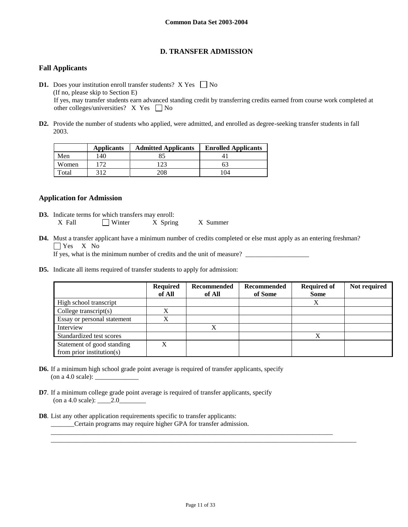# **D. TRANSFER ADMISSION**

# **Fall Applicants**

- **D1.** Does your institution enroll transfer students?  $X$  Yes  $\Box$  No (If no, please skip to Section E) If yes, may transfer students earn advanced standing credit by transferring credits earned from course work completed at other colleges/universities?  $X$  Yes  $\Box$  No
- **D2.** Provide the number of students who applied, were admitted, and enrolled as degree-seeking transfer students in fall 2003.

|       | <b>Applicants</b> | <b>Admitted Applicants</b> | <b>Enrolled Applicants</b> |
|-------|-------------------|----------------------------|----------------------------|
| Men   | 140               | 85                         |                            |
| Women | 72                | 23                         | 63                         |
| `otal | 312.              | 208                        | 104                        |

## **Application for Admission**

- **D3.** Indicate terms for which transfers may enroll: X Fall Winter X Spring X Summer
- **D4.** Must a transfer applicant have a minimum number of credits completed or else must apply as an entering freshman? Yes X No

If yes, what is the minimum number of credits and the unit of measure?

**D5.** Indicate all items required of transfer students to apply for admission:

|                                                         | <b>Required</b><br>of All | Recommended<br>of All | Recommended<br>of Some | <b>Required of</b><br><b>Some</b> | Not required |
|---------------------------------------------------------|---------------------------|-----------------------|------------------------|-----------------------------------|--------------|
| High school transcript                                  |                           |                       |                        | X                                 |              |
| College transcript $(s)$                                |                           |                       |                        |                                   |              |
| Essay or personal statement                             |                           |                       |                        |                                   |              |
| Interview                                               |                           |                       |                        |                                   |              |
| Standardized test scores                                |                           |                       |                        | X                                 |              |
| Statement of good standing<br>from prior institution(s) | X                         |                       |                        |                                   |              |

- **D6.** If a minimum high school grade point average is required of transfer applicants, specify  $($ on a 4.0 scale $):$
- **D7**. If a minimum college grade point average is required of transfer applicants, specify (on a 4.0 scale):  $\_\_\_\_2.0$
- **D8**. List any other application requirements specific to transfer applicants: \_\_\_\_\_\_\_Certain programs may require higher GPA for transfer admission.

\_\_\_\_\_\_\_\_\_\_\_\_\_\_\_\_\_\_\_\_\_\_\_\_\_\_\_\_\_\_\_\_\_\_\_\_\_\_\_\_\_\_\_\_\_\_\_\_\_\_\_\_\_\_\_\_\_\_\_\_\_\_\_\_\_\_\_\_\_\_\_\_\_\_\_\_\_\_\_\_\_\_\_\_

\_\_\_\_\_\_\_\_\_\_\_\_\_\_\_\_\_\_\_\_\_\_\_\_\_\_\_\_\_\_\_\_\_\_\_\_\_\_\_\_\_\_\_\_\_\_\_\_\_\_\_\_\_\_\_\_\_\_\_\_\_\_\_\_\_\_\_\_\_\_\_\_\_\_\_\_\_\_\_\_\_\_\_\_\_\_\_\_\_\_\_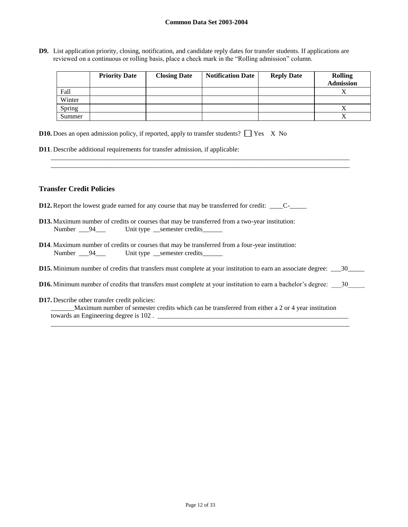**D9.** List application priority, closing, notification, and candidate reply dates for transfer students. If applications are reviewed on a continuous or rolling basis, place a check mark in the "Rolling admission" column.

|        | <b>Priority Date</b> | <b>Closing Date</b> | <b>Notification Date</b> | <b>Reply Date</b> | <b>Rolling</b><br><b>Admission</b> |
|--------|----------------------|---------------------|--------------------------|-------------------|------------------------------------|
| Fall   |                      |                     |                          |                   |                                    |
| Winter |                      |                     |                          |                   |                                    |
| Spring |                      |                     |                          |                   |                                    |
| Summer |                      |                     |                          |                   |                                    |

**D10.** Does an open admission policy, if reported, apply to transfer students?  $\Box$  Yes X No

**D11**. Describe additional requirements for transfer admission, if applicable:

### **Transfer Credit Policies**

- **D12.** Report the lowest grade earned for any course that may be transferred for credit: \_\_\_\_C-\_\_\_\_\_
- **D13.** Maximum number of credits or courses that may be transferred from a two-year institution: Number \_\_\_94\_\_\_ Unit type \_\_semester credits\_\_\_\_\_\_
- **D14**. Maximum number of credits or courses that may be transferred from a four-year institution: Number \_\_\_94\_\_\_\_ Unit type \_\_semester credits\_
- **D15.** Minimum number of credits that transfers must complete at your institution to earn an associate degree: \_\_\_30\_\_\_\_\_

\_\_\_\_\_\_\_\_\_\_\_\_\_\_\_\_\_\_\_\_\_\_\_\_\_\_\_\_\_\_\_\_\_\_\_\_\_\_\_\_\_\_\_\_\_\_\_\_\_\_\_\_\_\_\_\_\_\_\_\_\_\_\_\_\_\_\_\_\_\_\_\_\_\_\_\_\_\_\_\_\_\_\_\_\_\_\_\_\_ \_\_\_\_\_\_\_\_\_\_\_\_\_\_\_\_\_\_\_\_\_\_\_\_\_\_\_\_\_\_\_\_\_\_\_\_\_\_\_\_\_\_\_\_\_\_\_\_\_\_\_\_\_\_\_\_\_\_\_\_\_\_\_\_\_\_\_\_\_\_\_\_\_\_\_\_\_\_\_\_\_\_\_\_\_\_\_\_\_

- **D16.** Minimum number of credits that transfers must complete at your institution to earn a bachelor's degree:  $\frac{30}{20}$
- **D17.** Describe other transfer credit policies:

| Maximum number of semester credits which can be transferred from either a 2 or 4 year institution |  |
|---------------------------------------------------------------------------------------------------|--|
| towards an Engineering degree is 102.                                                             |  |

\_\_\_\_\_\_\_\_\_\_\_\_\_\_\_\_\_\_\_\_\_\_\_\_\_\_\_\_\_\_\_\_\_\_\_\_\_\_\_\_\_\_\_\_\_\_\_\_\_\_\_\_\_\_\_\_\_\_\_\_\_\_\_\_\_\_\_\_\_\_\_\_\_\_\_\_\_\_\_\_\_\_\_\_\_\_\_\_\_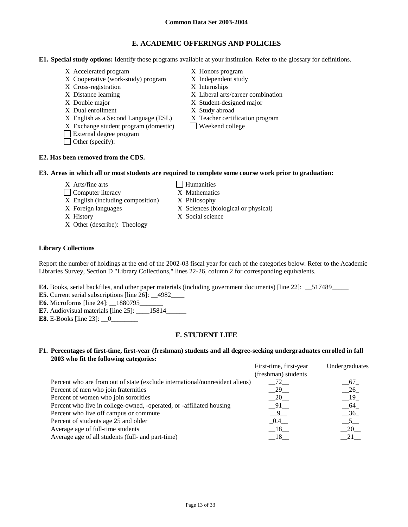# **E. ACADEMIC OFFERINGS AND POLICIES**

**E1. Special study options:** Identify those programs available at your institution. Refer to the glossary for definitions.

- X Accelerated program X Honors program
- X Cooperative (work-study) program X Independent study
- X Cross-registration X Internships
- 
- 
- X Dual enrollment X Study abroad
- X English as a Second Language (ESL) X Teacher certification program
- $X$  Exchange student program (domestic)  $\Box$  Weekend college
- External degree program
- Other (specify):
- 
- 
- 
- X Distance learning X Liberal arts/career combination
- X Double major X Student-designed major
	-
	-
	-

## **E2. Has been removed from the CDS.**

#### **E3. Areas in which all or most students are required to complete some course work prior to graduation:**

- $X$  Arts/fine arts  $\Box$  Humanities
- □ Computer literacy X Mathematics
- X English (including composition) X Philosophy
- 
- 
- X Other (describe): Theology

### **Library Collections**

Report the number of holdings at the end of the 2002-03 fiscal year for each of the categories below. Refer to the Academic Libraries Survey, Section D "Library Collections," lines 22-26, column 2 for corresponding equivalents.

**E4.** Books, serial backfiles, and other paper materials (including government documents) [line 22]: \_\_517489\_\_\_\_\_

- **E5**. Current serial subscriptions [line 26]: 4982
- **E6.** Microforms [line 24]: \_\_1880795\_\_\_\_\_\_\_
- **E7.** Audiovisual materials [line 25]: \_\_\_\_15814\_\_\_\_\_\_\_
- **E8.** E-Books [line 23]:  $\underline{\hspace{1cm}} 0$

# **F. STUDENT LIFE**

## **F1. Percentages of first-time, first-year (freshman) students and all degree-seeking undergraduates enrolled in fall 2003 who fit the following categories:**

| First-time, first-year | Undergraduates |
|------------------------|----------------|
| (freshman) students    |                |
| $-72$                  | 67             |
| $-29$                  | $-26$          |
| $-20$                  | $-19$          |
| $-91$                  | 64             |
| 9 <sup>o</sup>         | $-36$          |
| 0.4                    | 5 <sup>5</sup> |
| $-18$                  | 20             |
| 18                     | 21             |
|                        |                |

- 
- 
- X Foreign languages X Sciences (biological or physical)
- X History X Social science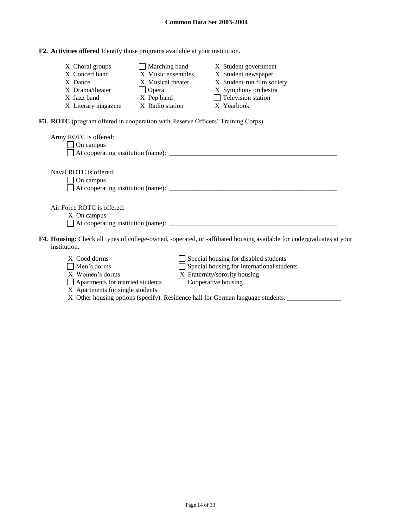# **F2. Activities offered** Identify those programs available at your institution.

| X Choral groups     | Marching band     | X Student government       |
|---------------------|-------------------|----------------------------|
| X Concert band      | X Music ensembles | X Student newspaper        |
| X Dance             | X Musical theater | X Student-run film society |
| X Drama/theater     | $\Box$ Opera      | X Symphony orchestra       |
| X Jazz band         | X Pep band        | $\Box$ Television station  |
| X Literary magazine | X Radio station   | X Yearbook                 |

**F3. ROTC** (program offered in cooperation with Reserve Officers' Training Corps)

| Army ROTC is offered:<br>On campus                                                                                                           |
|----------------------------------------------------------------------------------------------------------------------------------------------|
| Naval ROTC is offered:<br>On campus                                                                                                          |
| Air Force ROTC is offered:<br>X On campus                                                                                                    |
| <b>F4. Housing:</b> Check all types of college-owned, -operated, or -affiliated housing available for undergraduates at your<br>institution. |

institution.

| X Coed dorms                     | Special housing for disabled students      |
|----------------------------------|--------------------------------------------|
| $\Box$ Men's dorms               | Special housing for international students |
| X Women's dorms                  | X Fraternity/sorority housing              |
| Apartments for married students  | Cooperative housing                        |
| X Apartments for single students |                                            |

X Other housing options (specify): Residence hall for German language students. \_\_\_\_\_\_\_\_\_\_\_\_\_\_\_\_\_\_\_\_\_\_\_\_\_\_\_\_\_\_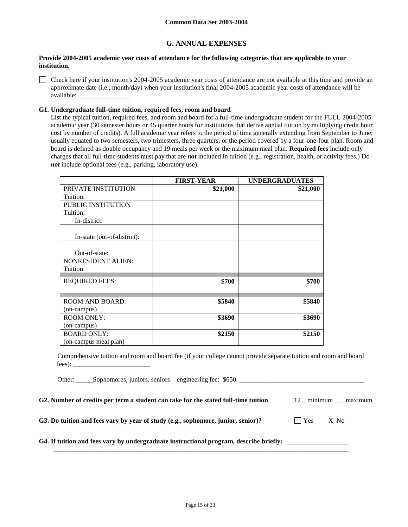# **G. ANNUAL EXPENSES**

#### **Provide 2004-2005 academic year costs of attendance for the following categories that are applicable to your institution.**

Check here if your institution's 2004-2005 academic year costs of attendance are not available at this time and provide an approximate date (i.e., month/day) when your institution's final 2004-2005 academic year costs of attendance will be available:

## **G1. Undergraduate full-time tuition, required fees, room and board**

List the typical tuition, required fees, and room and board for a full-time undergraduate student for the FULL 2004-2005 academic year (30 semester hours or 45 quarter hours for institutions that derive annual tuition by multiplying credit hour cost by number of credits). A full academic year refers to the period of time generally extending from September to June; usually equated to two semesters, two trimesters, three quarters, or the period covered by a four-one-four plan. Room and board is defined as double occupancy and 19 meals per week or the maximum meal plan. **Required fees** include only charges that all full-time students must pay that are *not* included in tuition (e.g., registration, health, or activity fees.) Do *not* include optional fees (e.g., parking, laboratory use).

|                             | <b>FIRST-YEAR</b> | <b>UNDERGRADUATES</b> |
|-----------------------------|-------------------|-----------------------|
| PRIVATE INSTITUTION         | \$21,000          | \$21,000              |
| Tuition:                    |                   |                       |
| PUBLIC INSTITUTION          |                   |                       |
| Tuition:                    |                   |                       |
| In-district:                |                   |                       |
| In-state (out-of-district): |                   |                       |
| Out-of-state:               |                   |                       |
| <b>NONRESIDENT ALIEN:</b>   |                   |                       |
| Tuition:                    |                   |                       |
| <b>REQUIRED FEES:</b>       | \$700             | \$700                 |
| <b>ROOM AND BOARD:</b>      | \$5840            | \$5840                |
| (on-campus)                 |                   |                       |
| <b>ROOM ONLY:</b>           | \$3690            | \$3690                |
| (on-campus)                 |                   |                       |
| <b>BOARD ONLY:</b>          | \$2150            | \$2150                |
| (on-campus meal plan)       |                   |                       |

Comprehensive tuition and room and board fee (if your college cannot provide separate tuition and room and board fees): \_\_\_\_\_\_\_\_\_\_\_\_\_\_\_\_\_\_\_\_\_\_\_

Other: Sophomores, juniors, seniors – engineering fee: \$650.

**G2. Number of credits per term a student can take for the stated full-time tuition** \_12\_\_minimum \_\_\_maximum

G3. Do tuition and fees vary by year of study (e.g., sophomore, junior, senior)?  $\Box$  Yes X No

**G4. If tuition and fees vary by undergraduate instructional program, describe briefly:** \_\_\_\_\_\_\_\_\_\_\_\_\_\_\_\_\_\_\_

\_\_\_\_\_\_\_\_\_\_\_\_\_\_\_\_\_\_\_\_\_\_\_\_\_\_\_\_\_\_\_\_\_\_\_\_\_\_\_\_\_\_\_\_\_\_\_\_\_\_\_\_\_\_\_\_\_\_\_\_\_\_\_\_\_\_\_\_\_\_\_\_\_\_\_\_\_\_\_\_\_\_\_\_\_\_\_\_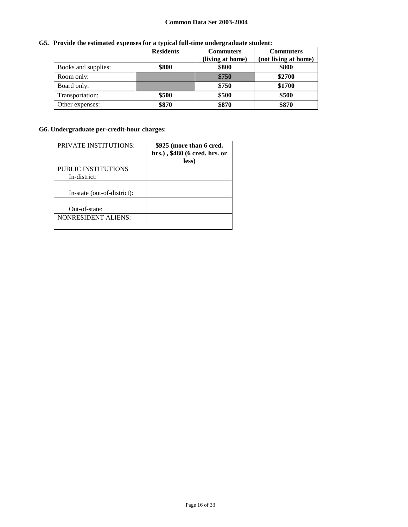# **G5. Provide the estimated expenses for a typical full-time undergraduate student:**

|                     | <b>Residents</b> | <b>Commuters</b> | <b>Commuters</b>     |
|---------------------|------------------|------------------|----------------------|
|                     |                  | (living at home) | (not living at home) |
| Books and supplies: | \$800            | \$800            | \$800                |
| Room only:          |                  | \$750            | \$2700               |
| Board only:         |                  | \$750            | \$1700               |
| Transportation:     | \$500            | \$500            | \$500                |
| Other expenses:     | \$870            | \$870            | \$870                |

# **G6. Undergraduate per-credit-hour charges:**

| <b>PRIVATE INSTITUTIONS:</b> | \$925 (more than 6 cred.<br>hrs.), \$480 (6 cred. hrs. or<br>less) |
|------------------------------|--------------------------------------------------------------------|
| PUBLIC INSTITUTIONS          |                                                                    |
| In-district:                 |                                                                    |
| In-state (out-of-district):  |                                                                    |
| Out-of-state:                |                                                                    |
| <b>NONRESIDENT ALIENS:</b>   |                                                                    |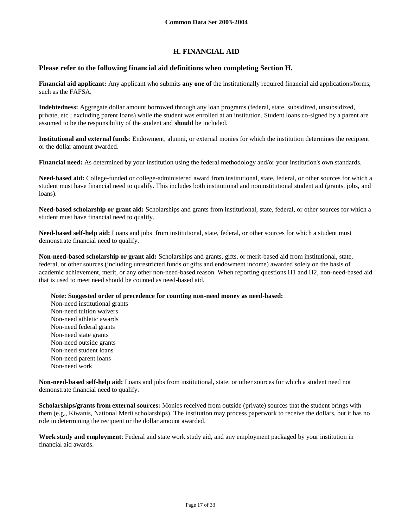# **H. FINANCIAL AID**

## **Please refer to the following financial aid definitions when completing Section H.**

**Financial aid applicant:** Any applicant who submits **any one of** the institutionally required financial aid applications/forms, such as the FAFSA.

**Indebtedness:** Aggregate dollar amount borrowed through any loan programs (federal, state, subsidized, unsubsidized, private, etc.; excluding parent loans) while the student was enrolled at an institution. Student loans co-signed by a parent are assumed to be the responsibility of the student and **should** be included.

**Institutional and external funds**: Endowment, alumni, or external monies for which the institution determines the recipient or the dollar amount awarded.

**Financial need:** As determined by your institution using the federal methodology and/or your institution's own standards.

**Need-based aid:** College-funded or college-administered award from institutional, state, federal, or other sources for which a student must have financial need to qualify. This includes both institutional and noninstitutional student aid (grants, jobs, and loans).

**Need-based scholarship or grant aid:** Scholarships and grants from institutional, state, federal, or other sources for which a student must have financial need to qualify.

**Need-based self-help aid:** Loans and jobs from institutional, state, federal, or other sources for which a student must demonstrate financial need to qualify.

**Non-need-based scholarship or grant aid:** Scholarships and grants, gifts, or merit-based aid from institutional, state, federal, or other sources (including unrestricted funds or gifts and endowment income) awarded solely on the basis of academic achievement, merit, or any other non-need-based reason. When reporting questions H1 and H2, non-need-based aid that is used to meet need should be counted as need-based aid.

**Note: Suggested order of precedence for counting non-need money as need-based:**

Non-need institutional grants Non-need tuition waivers Non-need athletic awards Non-need federal grants Non-need state grants Non-need outside grants Non-need student loans Non-need parent loans Non-need work

**Non-need-based self-help aid:** Loans and jobs from institutional, state, or other sources for which a student need not demonstrate financial need to qualify.

**Scholarships/grants from external sources:** Monies received from outside (private) sources that the student brings with them (e.g., Kiwanis, National Merit scholarships). The institution may process paperwork to receive the dollars, but it has no role in determining the recipient or the dollar amount awarded.

**Work study and employment**: Federal and state work study aid, and any employment packaged by your institution in financial aid awards.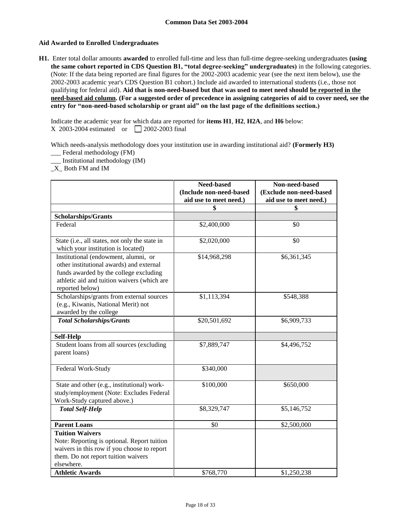## **Aid Awarded to Enrolled Undergraduates**

**H1.** Enter total dollar amounts **awarded** to enrolled full-time and less than full-time degree-seeking undergraduates **(using the same cohort reported in CDS Question B1, "total degree-seeking" undergraduates)** in the following categories. (Note: If the data being reported are final figures for the 2002-2003 academic year (see the next item below), use the 2002-2003 academic year's CDS Question B1 cohort.) Include aid awarded to international students (i.e., those not qualifying for federal aid). **Aid that is non-need-based but that was used to meet need should be reported in the need-based aid column. (For a suggested order of precedence in assigning categories of aid to cover need, see the entry for "non-need-based scholarship or grant aid" on the last page of the definitions section.)**

Indicate the academic year for which data are reported for **items H1**, **H2**, **H2A**, and **H6** below: X 2003-2004 estimated or  $\Box$  2002-2003 final

Which needs-analysis methodology does your institution use in awarding institutional aid? **(Formerly H3)**

\_\_\_ Federal methodology (FM) \_\_\_ Institutional methodology (IM)

\_X\_ Both FM and IM

|                                                                                                                                                                                              | Need-based<br>(Include non-need-based | Non-need-based<br>(Exclude non-need-based |
|----------------------------------------------------------------------------------------------------------------------------------------------------------------------------------------------|---------------------------------------|-------------------------------------------|
|                                                                                                                                                                                              | aid use to meet need.)                | aid use to meet need.)                    |
|                                                                                                                                                                                              | \$                                    | \$                                        |
| <b>Scholarships/Grants</b>                                                                                                                                                                   |                                       |                                           |
| Federal                                                                                                                                                                                      | \$2,400,000                           | \$0                                       |
| State (i.e., all states, not only the state in<br>which your institution is located)                                                                                                         | \$2,020,000                           | \$0                                       |
| Institutional (endowment, alumni, or<br>other institutional awards) and external<br>funds awarded by the college excluding<br>athletic aid and tuition waivers (which are<br>reported below) | \$14,968,298                          | \$6,361,345                               |
| Scholarships/grants from external sources<br>(e.g., Kiwanis, National Merit) not<br>awarded by the college                                                                                   | \$1,113,394                           | \$548,388                                 |
| <b>Total Scholarships/Grants</b>                                                                                                                                                             | \$20,501,692                          | \$6,909,733                               |
| <b>Self-Help</b>                                                                                                                                                                             |                                       |                                           |
| Student loans from all sources (excluding<br>parent loans)                                                                                                                                   | \$7,889,747                           | \$4,496,752                               |
| Federal Work-Study                                                                                                                                                                           | \$340,000                             |                                           |
| State and other (e.g., institutional) work-<br>study/employment (Note: Excludes Federal<br>Work-Study captured above.)                                                                       | \$100,000                             | \$650,000                                 |
| <b>Total Self-Help</b>                                                                                                                                                                       | \$8,329,747                           | \$5,146,752                               |
| <b>Parent Loans</b>                                                                                                                                                                          | \$0                                   | \$2,500,000                               |
| <b>Tuition Waivers</b><br>Note: Reporting is optional. Report tuition<br>waivers in this row if you choose to report<br>them. Do not report tuition waivers<br>elsewhere.                    |                                       |                                           |
| <b>Athletic Awards</b>                                                                                                                                                                       | \$768,770                             | \$1,250,238                               |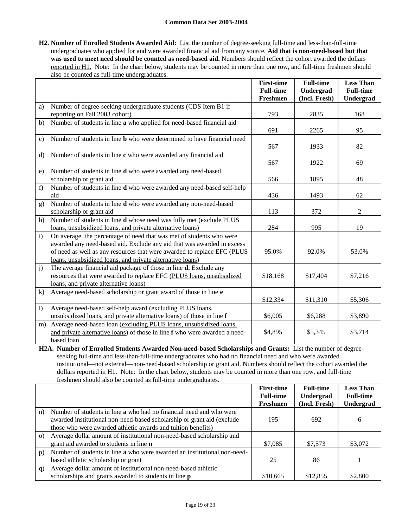**H2. Number of Enrolled Students Awarded Aid:** List the number of degree-seeking full-time and less-than-full-time undergraduates who applied for and were awarded financial aid from any source. **Aid that is non-need-based but that**  was used to meet need should be counted as need-based aid. Numbers should reflect the cohort awarded the dollars reported in H1. Note: In the chart below, students may be counted in more than one row, and full-time freshmen should also be counted as full-time undergraduates.

|              |                                                                                | <b>First-time</b> | <b>Full-time</b> | <b>Less Than</b> |
|--------------|--------------------------------------------------------------------------------|-------------------|------------------|------------------|
|              |                                                                                | <b>Full-time</b>  | Undergrad        | <b>Full-time</b> |
|              |                                                                                | Freshmen          | (Incl. Fresh)    | Undergrad        |
| a)           | Number of degree-seeking undergraduate students (CDS Item B1 if                |                   |                  |                  |
|              | reporting on Fall 2003 cohort)                                                 | 793               | 2835             | 168              |
| b)           | Number of students in line a who applied for need-based financial aid          |                   |                  |                  |
|              |                                                                                | 691               | 2265             | 95               |
| $\mathbf{c}$ | Number of students in line <b>b</b> who were determined to have financial need |                   |                  |                  |
|              |                                                                                | 567               | 1933             | 82               |
| d)           | Number of students in line c who were awarded any financial aid                |                   |                  |                  |
|              |                                                                                | 567               | 1922             | 69               |
| e)           | Number of students in line <b>d</b> who were awarded any need-based            |                   |                  |                  |
|              | scholarship or grant aid                                                       | 566               | 1895             | 48               |
| f)           | Number of students in line d who were awarded any need-based self-help         |                   |                  |                  |
|              | aid                                                                            | 436               | 1493             | 62               |
| g)           | Number of students in line <b>d</b> who were awarded any non-need-based        |                   |                  |                  |
|              | scholarship or grant aid                                                       | 113               | 372              | 2                |
| h)           | Number of students in line d whose need was fully met (exclude PLUS            |                   |                  |                  |
|              | loans, unsubsidized loans, and private alternative loans)                      | 284               | 995              | 19               |
| $\mathbf{i}$ | On average, the percentage of need that was met of students who were           |                   |                  |                  |
|              | awarded any need-based aid. Exclude any aid that was awarded in excess         |                   |                  |                  |
|              | of need as well as any resources that were awarded to replace EFC (PLUS        | 95.0%             | 92.0%            | 53.0%            |
|              | loans, unsubsidized loans, and private alternative loans)                      |                   |                  |                  |
| j)           | The average financial aid package of those in line <b>d.</b> Exclude any       |                   |                  |                  |
|              | resources that were awarded to replace EFC (PLUS loans, unsubsidized           | \$18,168          | \$17,404         | \$7,216          |
|              | loans, and private alternative loans)                                          |                   |                  |                  |
| $\bf{k}$     | Average need-based scholarship or grant award of those in line e               |                   |                  |                  |
|              |                                                                                | \$12,334          | \$11,310         | \$5,306          |
| 1)           | Average need-based self-help award (excluding PLUS loans,                      |                   |                  |                  |
|              | unsubsidized loans, and private alternative loans) of those in line f          | \$6,005           | \$6,288          | \$3,890          |
| m)           | Average need-based loan (excluding PLUS loans, unsubsidized loans,             |                   |                  |                  |
|              | and private alternative loans) of those in line f who were awarded a need-     | \$4,895           | \$5,345          | \$3,714          |
|              | based loan                                                                     |                   |                  |                  |

**H2A. Number of Enrolled Students Awarded Non-need-based Scholarships and Grants:** List the number of degreeseeking full-time and less-than-full-time undergraduates who had no financial need and who were awarded institutional—not external—non-need-based scholarship or grant aid. Numbers should reflect the cohort awarded the dollars reported in H1. Note: In the chart below, students may be counted in more than one row, and full-time freshmen should also be counted as full-time undergraduates.

|          |                                                                          | <b>First-time</b> | <b>Full-time</b> | <b>Less Than</b> |
|----------|--------------------------------------------------------------------------|-------------------|------------------|------------------|
|          |                                                                          | <b>Full-time</b>  | Undergrad        | <b>Full-time</b> |
|          |                                                                          | Freshmen          | (Incl. Fresh)    | Undergrad        |
| n)       | Number of students in line a who had no financial need and who were      |                   |                  |                  |
|          | awarded institutional non-need-based scholarship or grant aid (exclude   | 195               | 692              | 6                |
|          | those who were awarded athletic awards and tuition benefits)             |                   |                  |                  |
| $\Omega$ | Average dollar amount of institutional non-need-based scholarship and    |                   |                  |                  |
|          | grant aid awarded to students in line <b>n</b>                           | \$7,085           | \$7,573          | \$3,072          |
| p)       | Number of students in line a who were awarded an institutional non-need- |                   |                  |                  |
|          | based athletic scholarship or grant                                      | 25                | 86               |                  |
| q)       | Average dollar amount of institutional non-need-based athletic           |                   |                  |                  |
|          | scholarships and grants awarded to students in line p                    | \$10,665          | \$12,855         | \$2,800          |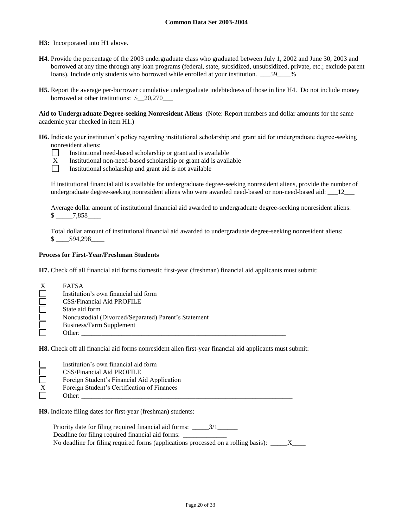**H3:** Incorporated into H1 above.

- **H4.** Provide the percentage of the 2003 undergraduate class who graduated between July 1, 2002 and June 30, 2003 and borrowed at any time through any loan programs (federal, state, subsidized, unsubsidized, private, etc.; exclude parent loans). Include only students who borrowed while enrolled at your institution.  $\_\_\_59\_\_\%$
- **H5.** Report the average per-borrower cumulative undergraduate indebtedness of those in line H4. Do not include money borrowed at other institutions: \$\_\_20,270\_\_\_

**Aid to Undergraduate Degree-seeking Nonresident Aliens** (Note: Report numbers and dollar amounts for the same academic year checked in item H1.)

**H6.** Indicate your institution's policy regarding institutional scholarship and grant aid for undergraduate degree-seeking nonresident aliens:



- $X$  Institutional non-need-based scholarship or grant aid is available<br>Institutional scholarship and grant aid is not available
	- Institutional scholarship and grant aid is not available

If institutional financial aid is available for undergraduate degree-seeking nonresident aliens, provide the number of undergraduate degree-seeking nonresident aliens who were awarded need-based or non-need-based aid: \_\_\_12\_\_\_

Average dollar amount of institutional financial aid awarded to undergraduate degree-seeking nonresident aliens: \$ \_\_\_\_\_7,858\_\_\_\_

Total dollar amount of institutional financial aid awarded to undergraduate degree-seeking nonresident aliens:  $$94,298$ 

#### **Process for First-Year/Freshman Students**

**H7.** Check off all financial aid forms domestic first-year (freshman) financial aid applicants must submit:

| Χ | <b>FAFSA</b>                                         |
|---|------------------------------------------------------|
|   | Institution's own financial aid form                 |
|   | CSS/Financial Aid PROFILE                            |
|   | State aid form                                       |
|   | Noncustodial (Divorced/Separated) Parent's Statement |
|   | Business/Farm Supplement                             |
|   | Other:                                               |

**H8.** Check off all financial aid forms nonresident alien first-year financial aid applicants must submit:

| Institution's own financial aid form        |
|---------------------------------------------|
| <b>CSS/Financial Aid PROFILE</b>            |
| Foreign Student's Financial Aid Application |
| Foreign Student's Certification of Finances |
| Other:                                      |
|                                             |

**H9.** Indicate filing dates for first-year (freshman) students:

Priority date for filing required financial aid forms: \_\_\_\_\_\_3/1\_\_\_\_\_\_\_\_ Deadline for filing required financial aid forms: \_ No deadline for filing required forms (applications processed on a rolling basis):  $\frac{X}{X}$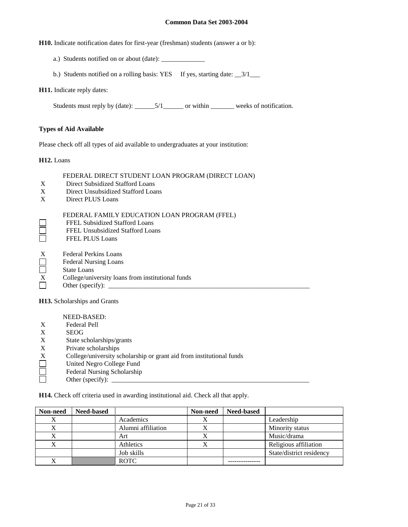**H10.** Indicate notification dates for first-year (freshman) students (answer a or b):

- a.) Students notified on or about (date): \_\_\_\_\_\_\_\_\_\_\_\_\_
- b.) Students notified on a rolling basis: YES If yes, starting date:  $\frac{3}{1}$

**H11.** Indicate reply dates:

Students must reply by (date): \_\_\_\_\_\_\_5/1\_\_\_\_\_\_\_ or within \_\_\_\_\_\_\_\_ weeks of notification.

## **Types of Aid Available**

Please check off all types of aid available to undergraduates at your institution:

**H12.** Loans

FEDERAL DIRECT STUDENT LOAN PROGRAM (DIRECT LOAN)

- X Direct Subsidized Stafford Loans
- X Direct Unsubsidized Stafford Loans
- X Direct PLUS Loans

| FEDERAL FAMILY EDUCATION LOAN PROGRAM (FFEL) |
|----------------------------------------------|
|----------------------------------------------|

- FFEL Subsidized Stafford Loans
- FFEL Unsubsidized Stafford Loans
- FFEL PLUS Loans
- X Federal Perkins Loans
- Federal Nursing Loans
- П State Loans
- X College/university loans from institutional funds
- Other (specify):  $\_\_$

**H13.** Scholarships and Grants

NEED-BASED: X Federal Pell X<br>State so X State scholarships/grants<br>X Private scholarships X Private scholarships<br>X College/university sc<br>United Negro College College/university scholarship or grant aid from institutional funds United Negro College Fund П Federal Nursing Scholarship 戸 Other (specify):  $\_\_$ 

**H14.** Check off criteria used in awarding institutional aid. Check all that apply.

| Non-need | <b>Need-based</b> |                    | Non-need | <b>Need-based</b> |                          |
|----------|-------------------|--------------------|----------|-------------------|--------------------------|
| X        |                   | Academics          |          |                   | Leadership               |
|          |                   | Alumni affiliation |          |                   | Minority status          |
| X        |                   | Art                |          |                   | Music/drama              |
|          |                   | Athletics          |          |                   | Religious affiliation    |
|          |                   | Job skills         |          |                   | State/district residency |
|          |                   | <b>ROTC</b>        |          |                   |                          |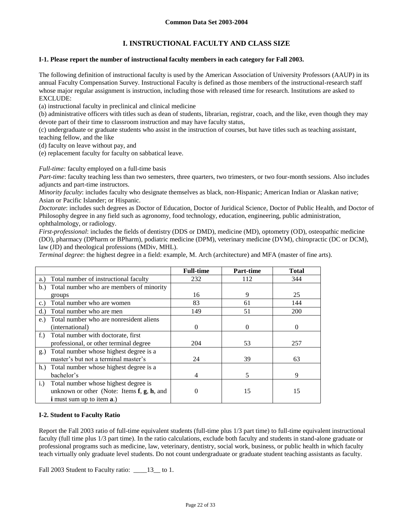# **I. INSTRUCTIONAL FACULTY AND CLASS SIZE**

#### **I-1. Please report the number of instructional faculty members in each category for Fall 2003.**

The following definition of instructional faculty is used by the American Association of University Professors (AAUP) in its annual Faculty Compensation Survey. Instructional Faculty is defined as those members of the instructional-research staff whose major regular assignment is instruction, including those with released time for research. Institutions are asked to EXCLUDE:

(a) instructional faculty in preclinical and clinical medicine

(b) administrative officers with titles such as dean of students, librarian, registrar, coach, and the like, even though they may devote part of their time to classroom instruction and may have faculty status,

(c) undergraduate or graduate students who assist in the instruction of courses, but have titles such as teaching assistant, teaching fellow, and the like

(d) faculty on leave without pay, and

(e) replacement faculty for faculty on sabbatical leave.

## *Full-time:* faculty employed on a full-time basis

*Part-time*: faculty teaching less than two semesters, three quarters, two trimesters, or two four-month sessions. Also includes adjuncts and part-time instructors.

*Minority faculty*: includes faculty who designate themselves as black, non-Hispanic; American Indian or Alaskan native; Asian or Pacific Islander; or Hispanic.

*Doctorate*: includes such degrees as Doctor of Education, Doctor of Juridical Science, Doctor of Public Health, and Doctor of Philosophy degree in any field such as agronomy, food technology, education, engineering, public administration, ophthalmology, or radiology.

*First-professional*: includes the fields of dentistry (DDS or DMD), medicine (MD), optometry (OD), osteopathic medicine (DO), pharmacy (DPharm or BPharm), podiatric medicine (DPM), veterinary medicine (DVM), chiropractic (DC or DCM), law (JD) and theological professions (MDiv, MHL).

*Terminal degree*: the highest degree in a field: example, M. Arch (architecture) and MFA (master of fine arts).

|                                                     | <b>Full-time</b> | <b>Part-time</b> | <b>Total</b> |
|-----------------------------------------------------|------------------|------------------|--------------|
| Total number of instructional faculty<br>a.)        | 232              | 112              | 344          |
| Total number who are members of minority<br>b.      |                  |                  |              |
| groups                                              | 16               | 9                | 25           |
| Total number who are women<br>c.                    | 83               | 61               | 144          |
| Total number who are men                            | 149              | 51               | 200          |
| Total number who are nonresident aliens<br>e.       |                  |                  |              |
| (international)                                     | 0                | 0                | $\Omega$     |
| Total number with doctorate, first<br>$f_{\cdot}$ ) |                  |                  |              |
| professional, or other terminal degree              | 204              | 53               | 257          |
| Total number whose highest degree is a<br>g.)       |                  |                  |              |
| master's but not a terminal master's                | 24               | 39               | 63           |
| h.) Total number whose highest degree is a          |                  |                  |              |
| bachelor's                                          | 4                | 5                | 9            |
| Total number whose highest degree is<br>i.)         |                  |                  |              |
| unknown or other (Note: Items $f$ , $g$ , $h$ , and | 0                | 15               | 15           |
| <b>i</b> must sum up to item <b>a</b> .)            |                  |                  |              |

## **I-2. Student to Faculty Ratio**

Report the Fall 2003 ratio of full-time equivalent students (full-time plus 1/3 part time) to full-time equivalent instructional faculty (full time plus 1/3 part time). In the ratio calculations, exclude both faculty and students in stand-alone graduate or professional programs such as medicine, law, veterinary, dentistry, social work, business, or public health in which faculty teach virtually only graduate level students. Do not count undergraduate or graduate student teaching assistants as faculty.

Fall 2003 Student to Faculty ratio: \_\_\_\_13\_to 1.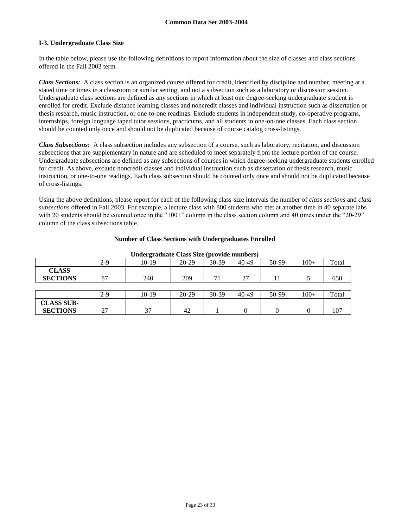## **I-3. Undergraduate Class Size**

In the table below, please use the following definitions to report information about the size of classes and class sections offered in the Fall 2003 term.

*Class Sections:* A class section is an organized course offered for credit, identified by discipline and number, meeting at a stated time or times in a classroom or similar setting, and not a subsection such as a laboratory or discussion session. Undergraduate class sections are defined as any sections in which at least one degree-seeking undergraduate student is enrolled for credit. Exclude distance learning classes and noncredit classes and individual instruction such as dissertation or thesis research, music instruction, or one-to-one readings. Exclude students in independent study, co-operative programs, internships, foreign language taped tutor sessions, practicums, and all students in one-on-one classes. Each class section should be counted only once and should not be duplicated because of course catalog cross-listings.

*Class Subsections:* A class subsection includes any subsection of a course, such as laboratory, recitation, and discussion subsections that are supplementary in nature and are scheduled to meet separately from the lecture portion of the course. Undergraduate subsections are defined as any subsections of courses in which degree-seeking undergraduate students enrolled for credit. As above, exclude noncredit classes and individual instruction such as dissertation or thesis research, music instruction, or one-to-one readings. Each class subsection should be counted only once and should not be duplicated because of cross-listings.

Using the above definitions, please report for each of the following class-size intervals the number of *class sections* and *class subsections* offered in Fall 2003. For example, a lecture class with 800 students who met at another time in 40 separate labs with 20 students should be counted once in the "100+" column in the class section column and 40 times under the "20-29" column of the class subsections table.

#### **Number of Class Sections with Undergraduates Enrolled**

|                   | $2-9$ | 10-19   | $20 - 29$ | 30-39 | 40-49 | 50-99 | $100+$ | Total |
|-------------------|-------|---------|-----------|-------|-------|-------|--------|-------|
| <b>CLASS</b>      |       |         |           |       |       |       |        |       |
| <b>SECTIONS</b>   | 87    | 240     | 209       | 71    | 27    |       |        | 650   |
|                   |       |         |           |       |       |       |        |       |
|                   | $2-9$ | $10-19$ | 20-29     | 30-39 | 40-49 | 50-99 | $100+$ | Total |
| <b>CLASS SUB-</b> |       |         |           |       |       |       |        |       |
| <b>SECTIONS</b>   | 27    | 37      | 42        |       |       |       |        | 107   |

#### **Undergraduate Class Size (provide numbers)**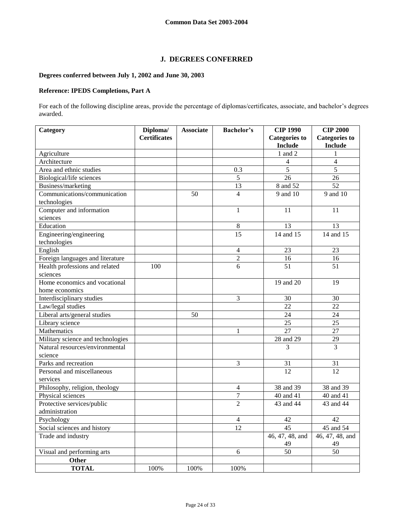# **J. DEGREES CONFERRED**

# **Degrees conferred between July 1, 2002 and June 30, 2003**

# **Reference: IPEDS Completions, Part A**

For each of the following discipline areas, provide the percentage of diplomas/certificates, associate, and bachelor's degrees awarded.

| Category                          | Diploma/            | <b>Associate</b> | <b>Bachelor's</b> | <b>CIP 1990</b>      | <b>CIP 2000</b>         |
|-----------------------------------|---------------------|------------------|-------------------|----------------------|-------------------------|
|                                   | <b>Certificates</b> |                  |                   | <b>Categories</b> to | <b>Categories to</b>    |
|                                   |                     |                  |                   | <b>Include</b>       | <b>Include</b>          |
| Agriculture                       |                     |                  |                   | $1$ and $2$          | 1                       |
| Architecture                      |                     |                  |                   | $\overline{4}$       | $\overline{\mathbf{4}}$ |
| Area and ethnic studies           |                     |                  | 0.3               | $\overline{5}$       | $\overline{5}$          |
| Biological/life sciences          |                     |                  | 5                 | 26                   | 26                      |
| Business/marketing                |                     |                  | 13                | 8 and 52             | 52                      |
| Communications/communication      |                     | 50               | $\overline{4}$    | 9 and 10             | 9 and 10                |
| technologies                      |                     |                  |                   |                      |                         |
| Computer and information          |                     |                  | $\mathbf{1}$      | 11                   | 11                      |
| sciences                          |                     |                  |                   |                      |                         |
| Education                         |                     |                  | $\,$ 8 $\,$       | 13                   | 13                      |
| Engineering/engineering           |                     |                  | 15                | 14 and 15            | 14 and 15               |
| technologies                      |                     |                  |                   |                      |                         |
| English                           |                     |                  | $\overline{4}$    | 23                   | 23                      |
| Foreign languages and literature  |                     |                  | $\overline{2}$    | 16                   | 16                      |
| Health professions and related    | 100                 |                  | 6                 | 51                   | 51                      |
| sciences                          |                     |                  |                   |                      |                         |
| Home economics and vocational     |                     |                  |                   | 19 and 20            | 19                      |
| home economics                    |                     |                  |                   |                      |                         |
| Interdisciplinary studies         |                     |                  | 3                 | 30                   | 30                      |
| Law/legal studies                 |                     |                  |                   | 22                   | 22                      |
| Liberal arts/general studies      |                     | 50               |                   | 24                   | 24                      |
| Library science                   |                     |                  |                   | 25                   | 25                      |
| Mathematics                       |                     |                  | $\mathbf{1}$      | 27                   | 27                      |
| Military science and technologies |                     |                  |                   | 28 and 29            | 29                      |
| Natural resources/environmental   |                     |                  |                   | 3                    | 3                       |
| science                           |                     |                  |                   |                      |                         |
| Parks and recreation              |                     |                  | 3                 | 31                   | 31                      |
| Personal and miscellaneous        |                     |                  |                   | 12                   | 12                      |
| services                          |                     |                  |                   |                      |                         |
| Philosophy, religion, theology    |                     |                  | $\overline{4}$    | 38 and 39            | 38 and 39               |
| Physical sciences                 |                     |                  | $\overline{7}$    | 40 and 41            | 40 and 41               |
| Protective services/public        |                     |                  | $\overline{2}$    | 43 and 44            | 43 and 44               |
| administration                    |                     |                  |                   |                      |                         |
| Psychology                        |                     |                  | $\overline{4}$    | 42                   | 42                      |
| Social sciences and history       |                     |                  | 12                | 45                   | 45 and 54               |
| Trade and industry                |                     |                  |                   | 46, 47, 48, and      | 46, 47, 48, and         |
|                                   |                     |                  |                   | 49                   | 49                      |
| Visual and performing arts        |                     |                  | 6                 | 50                   | 50                      |
| Other                             |                     |                  |                   |                      |                         |
| <b>TOTAL</b>                      | 100%                | 100%             | 100%              |                      |                         |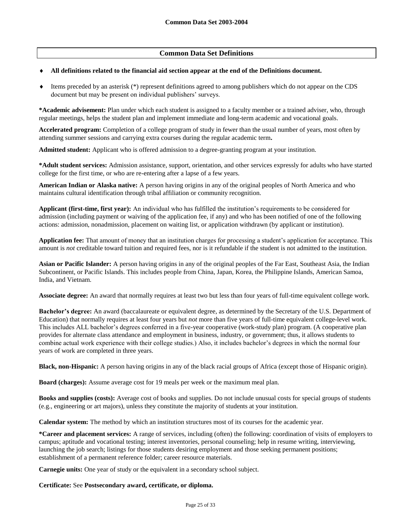# **Common Data Set Definitions**

#### **All definitions related to the financial aid section appear at the end of the Definitions document.**

 Items preceded by an asterisk (\*) represent definitions agreed to among publishers which do not appear on the CDS document but may be present on individual publishers' surveys.

**\*Academic advisement:** Plan under which each student is assigned to a faculty member or a trained adviser, who, through regular meetings, helps the student plan and implement immediate and long-term academic and vocational goals.

**Accelerated program:** Completion of a college program of study in fewer than the usual number of years, most often by attending summer sessions and carrying extra courses during the regular academic term**.**

**Admitted student:** Applicant who is offered admission to a degree-granting program at your institution.

**\*Adult student services:** Admission assistance, support, orientation, and other services expressly for adults who have started college for the first time, or who are re-entering after a lapse of a few years.

**American Indian or Alaska native:** A person having origins in any of the original peoples of North America and who maintains cultural identification through tribal affiliation or community recognition.

**Applicant (first-time, first year):** An individual who has fulfilled the institution's requirements to be considered for admission (including payment or waiving of the application fee, if any) and who has been notified of one of the following actions: admission, nonadmission, placement on waiting list, or application withdrawn (by applicant or institution).

**Application fee:** That amount of money that an institution charges for processing a student's application for acceptance. This amount is *not* creditable toward tuition and required fees, nor is it refundable if the student is not admitted to the institution.

**Asian or Pacific Islander:** A person having origins in any of the original peoples of the Far East, Southeast Asia, the Indian Subcontinent, or Pacific Islands. This includes people from China, Japan, Korea, the Philippine Islands, American Samoa, India, and Vietnam.

**Associate degree:** An award that normally requires at least two but less than four years of full-time equivalent college work.

**Bachelor's degree:** An award (baccalaureate or equivalent degree, as determined by the Secretary of the U.S. Department of Education) that normally requires at least four years but *not* more than five years of full-time equivalent college-level work. This includes ALL bachelor's degrees conferred in a five-year cooperative (work-study plan) program. (A cooperative plan provides for alternate class attendance and employment in business, industry, or government; thus, it allows students to combine actual work experience with their college studies.) Also, it includes bachelor's degrees in which the normal four years of work are completed in three years.

**Black, non-Hispanic:** A person having origins in any of the black racial groups of Africa (except those of Hispanic origin).

**Board (charges):** Assume average cost for 19 meals per week or the maximum meal plan.

**Books and supplies (costs):** Average cost of books and supplies. Do not include unusual costs for special groups of students (e.g., engineering or art majors), unless they constitute the majority of students at your institution.

**Calendar system:** The method by which an institution structures most of its courses for the academic year.

**\*Career and placement services:** A range of services, including (often) the following: coordination of visits of employers to campus; aptitude and vocational testing; interest inventories, personal counseling; help in resume writing, interviewing, launching the job search; listings for those students desiring employment and those seeking permanent positions; establishment of a permanent reference folder; career resource materials.

**Carnegie units:** One year of study or the equivalent in a secondary school subject.

**Certificate:** See **Postsecondary award, certificate, or diploma.**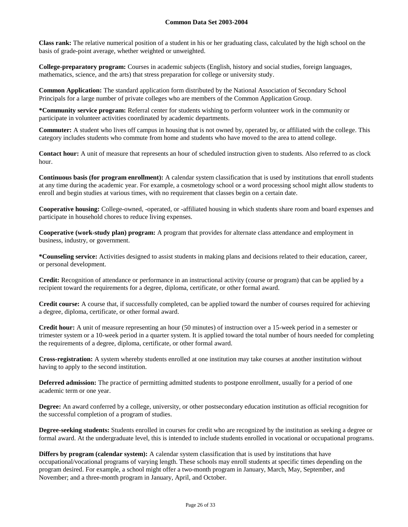**Class rank:** The relative numerical position of a student in his or her graduating class, calculated by the high school on the basis of grade-point average, whether weighted or unweighted.

**College-preparatory program:** Courses in academic subjects (English, history and social studies, foreign languages, mathematics, science, and the arts) that stress preparation for college or university study.

**Common Application:** The standard application form distributed by the National Association of Secondary School Principals for a large number of private colleges who are members of the Common Application Group.

**\*Community service program:** Referral center for students wishing to perform volunteer work in the community or participate in volunteer activities coordinated by academic departments.

**Commuter:** A student who lives off campus in housing that is not owned by, operated by, or affiliated with the college. This category includes students who commute from home and students who have moved to the area to attend college.

**Contact hour:** A unit of measure that represents an hour of scheduled instruction given to students. Also referred to as clock hour.

**Continuous basis (for program enrollment):** A calendar system classification that is used by institutions that enroll students at any time during the academic year. For example, a cosmetology school or a word processing school might allow students to enroll and begin studies at various times, with no requirement that classes begin on a certain date.

**Cooperative housing:** College-owned, -operated, or -affiliated housing in which students share room and board expenses and participate in household chores to reduce living expenses.

**Cooperative (work-study plan) program:** A program that provides for alternate class attendance and employment in business, industry, or government.

**\*Counseling service:** Activities designed to assist students in making plans and decisions related to their education, career, or personal development.

**Credit:** Recognition of attendance or performance in an instructional activity (course or program) that can be applied by a recipient toward the requirements for a degree, diploma, certificate, or other formal award.

**Credit course:** A course that, if successfully completed, can be applied toward the number of courses required for achieving a degree, diploma, certificate, or other formal award.

**Credit hour:** A unit of measure representing an hour (50 minutes) of instruction over a 15-week period in a semester or trimester system or a 10-week period in a quarter system. It is applied toward the total number of hours needed for completing the requirements of a degree, diploma, certificate, or other formal award.

**Cross-registration:** A system whereby students enrolled at one institution may take courses at another institution without having to apply to the second institution.

**Deferred admission:** The practice of permitting admitted students to postpone enrollment, usually for a period of one academic term or one year.

**Degree:** An award conferred by a college, university, or other postsecondary education institution as official recognition for the successful completion of a program of studies.

**Degree-seeking students:** Students enrolled in courses for credit who are recognized by the institution as seeking a degree or formal award. At the undergraduate level, this is intended to include students enrolled in vocational or occupational programs.

**Differs by program (calendar system):** A calendar system classification that is used by institutions that have occupational/vocational programs of varying length. These schools may enroll students at specific times depending on the program desired. For example, a school might offer a two-month program in January, March, May, September, and November; and a three-month program in January, April, and October.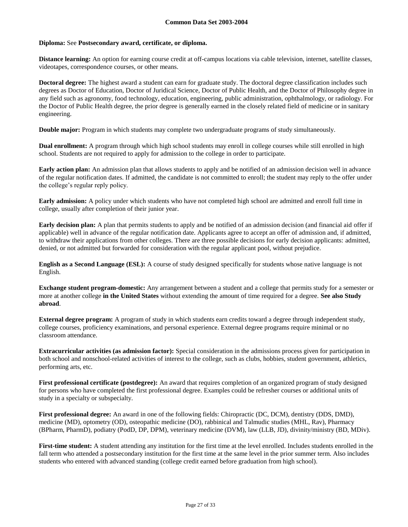## **Diploma:** See **Postsecondary award, certificate, or diploma.**

**Distance learning:** An option for earning course credit at off-campus locations via cable television, internet, satellite classes, videotapes, correspondence courses, or other means.

**Doctoral degree:** The highest award a student can earn for graduate study. The doctoral degree classification includes such degrees as Doctor of Education, Doctor of Juridical Science, Doctor of Public Health, and the Doctor of Philosophy degree in any field such as agronomy, food technology, education, engineering, public administration, ophthalmology, or radiology. For the Doctor of Public Health degree, the prior degree is generally earned in the closely related field of medicine or in sanitary engineering.

**Double major:** Program in which students may complete two undergraduate programs of study simultaneously.

**Dual enrollment:** A program through which high school students may enroll in college courses while still enrolled in high school. Students are not required to apply for admission to the college in order to participate.

**Early action plan:** An admission plan that allows students to apply and be notified of an admission decision well in advance of the regular notification dates. If admitted, the candidate is not committed to enroll; the student may reply to the offer under the college's regular reply policy.

**Early admission:** A policy under which students who have not completed high school are admitted and enroll full time in college, usually after completion of their junior year.

**Early decision plan:** A plan that permits students to apply and be notified of an admission decision (and financial aid offer if applicable) well in advance of the regular notification date. Applicants agree to accept an offer of admission and, if admitted, to withdraw their applications from other colleges. There are three possible decisions for early decision applicants: admitted, denied, or not admitted but forwarded for consideration with the regular applicant pool, without prejudice.

**English as a Second Language (ESL):** A course of study designed specifically for students whose native language is not English.

**Exchange student program-domestic:** Any arrangement between a student and a college that permits study for a semester or more at another college **in the United States** without extending the amount of time required for a degree. **See also Study abroad**.

**External degree program:** A program of study in which students earn credits toward a degree through independent study, college courses, proficiency examinations, and personal experience. External degree programs require minimal or no classroom attendance.

**Extracurricular activities (as admission factor):** Special consideration in the admissions process given for participation in both school and nonschool-related activities of interest to the college, such as clubs, hobbies, student government, athletics, performing arts, etc.

**First professional certificate (postdegree):** An award that requires completion of an organized program of study designed for persons who have completed the first professional degree. Examples could be refresher courses or additional units of study in a specialty or subspecialty.

**First professional degree:** An award in one of the following fields: Chiropractic (DC, DCM), dentistry (DDS, DMD), medicine (MD), optometry (OD), osteopathic medicine (DO), rabbinical and Talmudic studies (MHL, Rav), Pharmacy (BPharm, PharmD), podiatry (PodD, DP, DPM), veterinary medicine (DVM), law (LLB, JD), divinity/ministry (BD, MDiv).

First-time student: A student attending any institution for the first time at the level enrolled. Includes students enrolled in the fall term who attended a postsecondary institution for the first time at the same level in the prior summer term. Also includes students who entered with advanced standing (college credit earned before graduation from high school).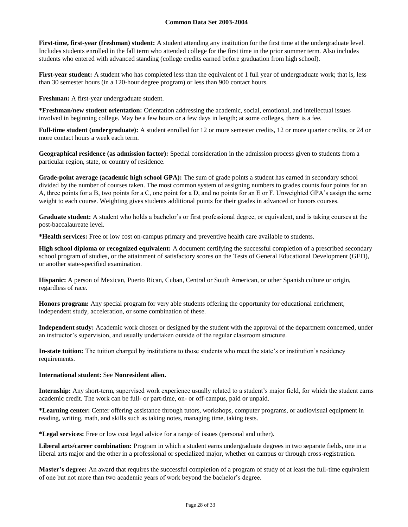**First-time, first-year (freshman) student:** A student attending any institution for the first time at the undergraduate level. Includes students enrolled in the fall term who attended college for the first time in the prior summer term. Also includes students who entered with advanced standing (college credits earned before graduation from high school).

**First-year student:** A student who has completed less than the equivalent of 1 full year of undergraduate work; that is, less than 30 semester hours (in a 120-hour degree program) or less than 900 contact hours.

**Freshman:** A first-year undergraduate student.

**\*Freshman/new student orientation:** Orientation addressing the academic, social, emotional, and intellectual issues involved in beginning college. May be a few hours or a few days in length; at some colleges, there is a fee.

**Full-time student (undergraduate):** A student enrolled for 12 or more semester credits, 12 or more quarter credits, or 24 or more contact hours a week each term.

**Geographical residence (as admission factor):** Special consideration in the admission process given to students from a particular region, state, or country of residence.

**Grade-point average (academic high school GPA):** The sum of grade points a student has earned in secondary school divided by the number of courses taken. The most common system of assigning numbers to grades counts four points for an A, three points for a B, two points for a C, one point for a D, and no points for an E or F. Unweighted GPA's assign the same weight to each course. Weighting gives students additional points for their grades in advanced or honors courses.

**Graduate student:** A student who holds a bachelor's or first professional degree, or equivalent, and is taking courses at the post-baccalaureate level.

**\*Health services:** Free or low cost on-campus primary and preventive health care available to students.

**High school diploma or recognized equivalent:** A document certifying the successful completion of a prescribed secondary school program of studies, or the attainment of satisfactory scores on the Tests of General Educational Development (GED), or another state-specified examination.

**Hispanic:** A person of Mexican, Puerto Rican, Cuban, Central or South American, or other Spanish culture or origin, regardless of race.

**Honors program:** Any special program for very able students offering the opportunity for educational enrichment, independent study, acceleration, or some combination of these.

**Independent study:** Academic work chosen or designed by the student with the approval of the department concerned, under an instructor's supervision, and usually undertaken outside of the regular classroom structure.

**In-state tuition:** The tuition charged by institutions to those students who meet the state's or institution's residency requirements.

#### **International student:** See **Nonresident alien.**

**Internship:** Any short-term, supervised work experience usually related to a student's major field, for which the student earns academic credit. The work can be full- or part-time, on- or off-campus, paid or unpaid.

**\*Learning center:** Center offering assistance through tutors, workshops, computer programs, or audiovisual equipment in reading, writing, math, and skills such as taking notes, managing time, taking tests.

**\*Legal services:** Free or low cost legal advice for a range of issues (personal and other).

**Liberal arts/career combination:** Program in which a student earns undergraduate degrees in two separate fields, one in a liberal arts major and the other in a professional or specialized major, whether on campus or through cross-registration.

**Master's degree:** An award that requires the successful completion of a program of study of at least the full-time equivalent of one but not more than two academic years of work beyond the bachelor's degree.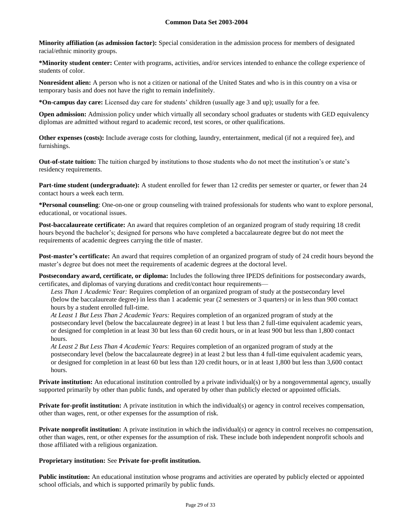**Minority affiliation (as admission factor):** Special consideration in the admission process for members of designated racial/ethnic minority groups.

**\*Minority student center:** Center with programs, activities, and/or services intended to enhance the college experience of students of color.

**Nonresident alien:** A person who is not a citizen or national of the United States and who is in this country on a visa or temporary basis and does not have the right to remain indefinitely.

**\*On-campus day care:** Licensed day care for students' children (usually age 3 and up); usually for a fee.

**Open admission:** Admission policy under which virtually all secondary school graduates or students with GED equivalency diplomas are admitted without regard to academic record, test scores, or other qualifications.

**Other expenses (costs):** Include average costs for clothing, laundry, entertainment, medical (if not a required fee), and furnishings.

**Out-of-state tuition:** The tuition charged by institutions to those students who do not meet the institution's or state's residency requirements.

**Part-time student (undergraduate):** A student enrolled for fewer than 12 credits per semester or quarter, or fewer than 24 contact hours a week each term.

**\*Personal counseling**: One-on-one or group counseling with trained professionals for students who want to explore personal, educational, or vocational issues.

**Post-baccalaureate certificate:** An award that requires completion of an organized program of study requiring 18 credit hours beyond the bachelor's; designed for persons who have completed a baccalaureate degree but do not meet the requirements of academic degrees carrying the title of master.

**Post-master's certificate:** An award that requires completion of an organized program of study of 24 credit hours beyond the master's degree but does not meet the requirements of academic degrees at the doctoral level.

**Postsecondary award, certificate, or diploma:** Includes the following three IPEDS definitions for postsecondary awards, certificates, and diplomas of varying durations and credit/contact hour requirements—

*Less Than 1 Academic Year:* Requires completion of an organized program of study at the postsecondary level (below the baccalaureate degree) in less than 1 academic year (2 semesters or 3 quarters) or in less than 900 contact hours by a student enrolled full-time.

*At Least 1 But Less Than 2 Academic Years:* Requires completion of an organized program of study at the postsecondary level (below the baccalaureate degree) in at least 1 but less than 2 full-time equivalent academic years, or designed for completion in at least 30 but less than 60 credit hours, or in at least 900 but less than 1,800 contact hours.

*At Least 2 But Less Than 4 Academic Years:* Requires completion of an organized program of study at the postsecondary level (below the baccalaureate degree) in at least 2 but less than 4 full-time equivalent academic years, or designed for completion in at least 60 but less than 120 credit hours, or in at least 1,800 but less than 3,600 contact hours.

**Private institution:** An educational institution controlled by a private individual(s) or by a nongovernmental agency, usually supported primarily by other than public funds, and operated by other than publicly elected or appointed officials.

**Private for-profit institution:** A private institution in which the individual(s) or agency in control receives compensation, other than wages, rent, or other expenses for the assumption of risk.

**Private nonprofit institution:** A private institution in which the individual(s) or agency in control receives no compensation, other than wages, rent, or other expenses for the assumption of risk. These include both independent nonprofit schools and those affiliated with a religious organization.

## **Proprietary institution:** See **Private for-profit institution.**

**Public institution:** An educational institution whose programs and activities are operated by publicly elected or appointed school officials, and which is supported primarily by public funds.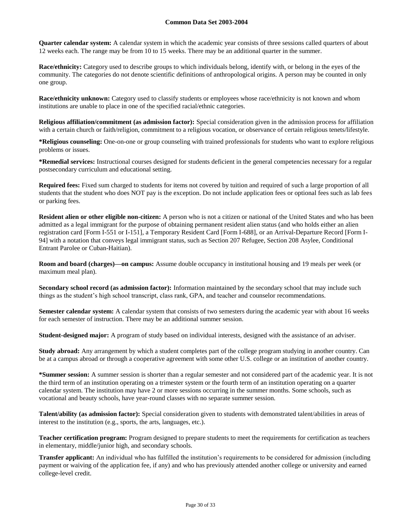**Quarter calendar system:** A calendar system in which the academic year consists of three sessions called quarters of about 12 weeks each. The range may be from 10 to 15 weeks. There may be an additional quarter in the summer.

**Race/ethnicity:** Category used to describe groups to which individuals belong, identify with, or belong in the eyes of the community. The categories do not denote scientific definitions of anthropological origins. A person may be counted in only one group.

**Race/ethnicity unknown:** Category used to classify students or employees whose race/ethnicity is not known and whom institutions are unable to place in one of the specified racial/ethnic categories.

**Religious affiliation/commitment (as admission factor):** Special consideration given in the admission process for affiliation with a certain church or faith/religion, commitment to a religious vocation, or observance of certain religious tenets/lifestyle.

**\*Religious counseling:** One-on-one or group counseling with trained professionals for students who want to explore religious problems or issues.

**\*Remedial services:** Instructional courses designed for students deficient in the general competencies necessary for a regular postsecondary curriculum and educational setting.

**Required fees:** Fixed sum charged to students for items not covered by tuition and required of such a large proportion of all students that the student who does NOT pay is the exception. Do not include application fees or optional fees such as lab fees or parking fees.

**Resident alien or other eligible non-citizen:** A person who is not a citizen or national of the United States and who has been admitted as a legal immigrant for the purpose of obtaining permanent resident alien status (and who holds either an alien registration card [Form I-551 or I-151], a Temporary Resident Card [Form I-688], or an Arrival-Departure Record [Form I-94] with a notation that conveys legal immigrant status, such as Section 207 Refugee, Section 208 Asylee, Conditional Entrant Parolee or Cuban-Haitian).

**Room and board (charges)—on campus:** Assume double occupancy in institutional housing and 19 meals per week (or maximum meal plan).

**Secondary school record (as admission factor):** Information maintained by the secondary school that may include such things as the student's high school transcript, class rank, GPA, and teacher and counselor recommendations.

**Semester calendar system:** A calendar system that consists of two semesters during the academic year with about 16 weeks for each semester of instruction. There may be an additional summer session.

**Student-designed major:** A program of study based on individual interests, designed with the assistance of an adviser.

**Study abroad:** Any arrangement by which a student completes part of the college program studying in another country. Can be at a campus abroad or through a cooperative agreement with some other U.S. college or an institution of another country.

**\*Summer session:** A summer session is shorter than a regular semester and not considered part of the academic year. It is not the third term of an institution operating on a trimester system or the fourth term of an institution operating on a quarter calendar system. The institution may have 2 or more sessions occurring in the summer months. Some schools, such as vocational and beauty schools, have year-round classes with no separate summer session.

**Talent/ability (as admission factor):** Special consideration given to students with demonstrated talent/abilities in areas of interest to the institution (e.g., sports, the arts, languages, etc.).

**Teacher certification program:** Program designed to prepare students to meet the requirements for certification as teachers in elementary, middle/junior high, and secondary schools.

**Transfer applicant:** An individual who has fulfilled the institution's requirements to be considered for admission (including payment or waiving of the application fee, if any) and who has previously attended another college or university and earned college-level credit.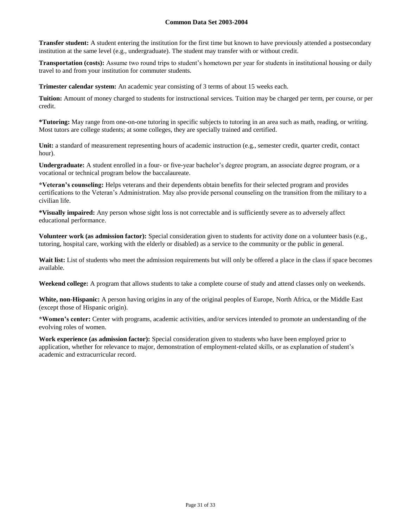**Transfer student:** A student entering the institution for the first time but known to have previously attended a postsecondary institution at the same level (e.g., undergraduate). The student may transfer with or without credit.

**Transportation (costs):** Assume two round trips to student's hometown per year for students in institutional housing or daily travel to and from your institution for commuter students.

**Trimester calendar system:** An academic year consisting of 3 terms of about 15 weeks each.

**Tuition:** Amount of money charged to students for instructional services. Tuition may be charged per term, per course, or per credit.

**\*Tutoring:** May range from one-on-one tutoring in specific subjects to tutoring in an area such as math, reading, or writing. Most tutors are college students; at some colleges, they are specially trained and certified.

**Unit:** a standard of measurement representing hours of academic instruction (e.g., semester credit, quarter credit, contact hour).

**Undergraduate:** A student enrolled in a four- or five-year bachelor's degree program, an associate degree program, or a vocational or technical program below the baccalaureate.

**\*Veteran's counseling:** Helps veterans and their dependents obtain benefits for their selected program and provides certifications to the Veteran's Administration. May also provide personal counseling on the transition from the military to a civilian life.

**\*Visually impaired:** Any person whose sight loss is not correctable and is sufficiently severe as to adversely affect educational performance.

**Volunteer work (as admission factor):** Special consideration given to students for activity done on a volunteer basis (e.g., tutoring, hospital care, working with the elderly or disabled) as a service to the community or the public in general.

Wait list: List of students who meet the admission requirements but will only be offered a place in the class if space becomes available.

**Weekend college:** A program that allows students to take a complete course of study and attend classes only on weekends.

**White, non-Hispanic:** A person having origins in any of the original peoples of Europe, North Africa, or the Middle East (except those of Hispanic origin).

**\*Women's center:** Center with programs, academic activities, and/or services intended to promote an understanding of the evolving roles of women.

**Work experience (as admission factor):** Special consideration given to students who have been employed prior to application, whether for relevance to major, demonstration of employment-related skills, or as explanation of student's academic and extracurricular record.